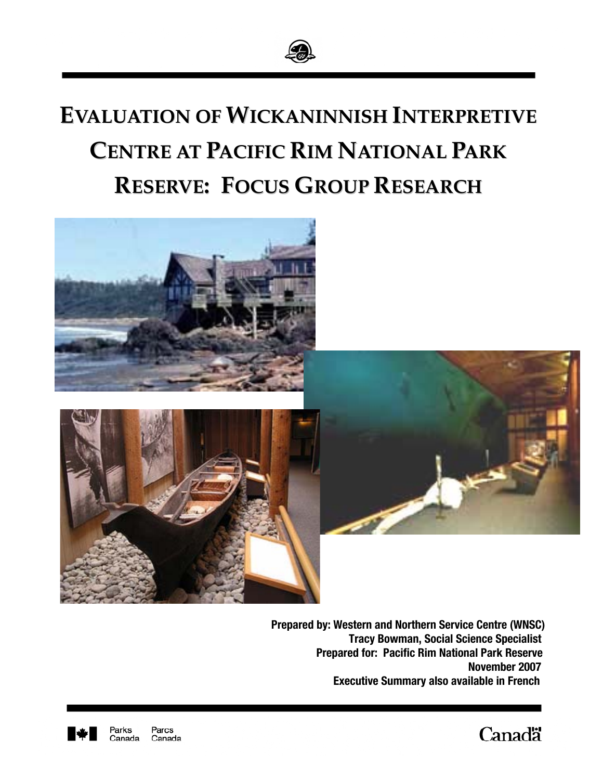

# **EVALUATION OF WICKANINNISH INTERPRETIVE CENTRE AT PACIFIC RIM NATIONAL PARK RESERVE: FOCUS GROUP RESEARCH**





 **Prepared by: Western and Northern Service Centre (WNSC) Tracy Bowman, Social Science Specialist Prepared for: Pacific Rim National Park Reserve November 2007 Executive Summary also available in French** 



Parcs Parks Canada Canada **Canadä**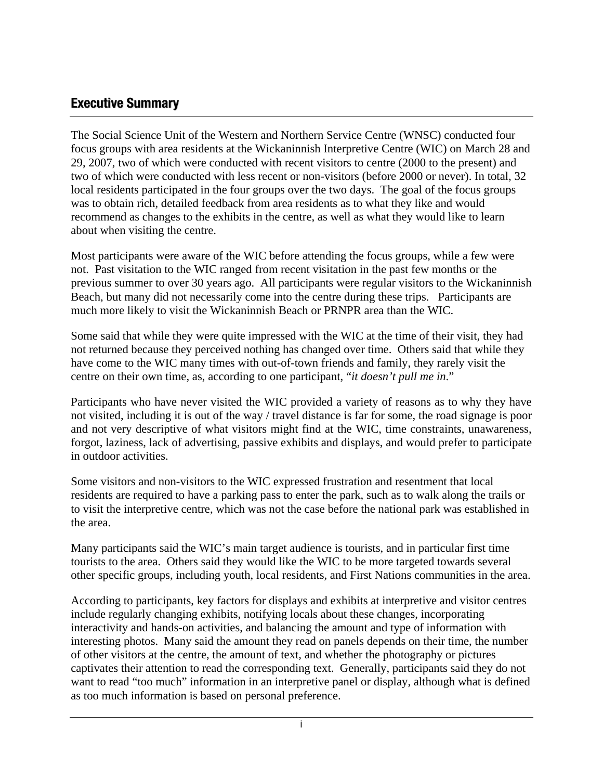# <span id="page-1-0"></span>**Executive Summary**

The Social Science Unit of the Western and Northern Service Centre (WNSC) conducted four focus groups with area residents at the Wickaninnish Interpretive Centre (WIC) on March 28 and 29, 2007, two of which were conducted with recent visitors to centre (2000 to the present) and two of which were conducted with less recent or non-visitors (before 2000 or never). In total, 32 local residents participated in the four groups over the two days. The goal of the focus groups was to obtain rich, detailed feedback from area residents as to what they like and would recommend as changes to the exhibits in the centre, as well as what they would like to learn about when visiting the centre.

Most participants were aware of the WIC before attending the focus groups, while a few were not. Past visitation to the WIC ranged from recent visitation in the past few months or the previous summer to over 30 years ago. All participants were regular visitors to the Wickaninnish Beach, but many did not necessarily come into the centre during these trips. Participants are much more likely to visit the Wickaninnish Beach or PRNPR area than the WIC.

Some said that while they were quite impressed with the WIC at the time of their visit, they had not returned because they perceived nothing has changed over time. Others said that while they have come to the WIC many times with out-of-town friends and family, they rarely visit the centre on their own time, as, according to one participant, "*it doesn't pull me in*."

Participants who have never visited the WIC provided a variety of reasons as to why they have not visited, including it is out of the way / travel distance is far for some, the road signage is poor and not very descriptive of what visitors might find at the WIC, time constraints, unawareness, forgot, laziness, lack of advertising, passive exhibits and displays, and would prefer to participate in outdoor activities.

Some visitors and non-visitors to the WIC expressed frustration and resentment that local residents are required to have a parking pass to enter the park, such as to walk along the trails or to visit the interpretive centre, which was not the case before the national park was established in the area.

Many participants said the WIC's main target audience is tourists, and in particular first time tourists to the area. Others said they would like the WIC to be more targeted towards several other specific groups, including youth, local residents, and First Nations communities in the area.

According to participants, key factors for displays and exhibits at interpretive and visitor centres include regularly changing exhibits, notifying locals about these changes, incorporating interactivity and hands-on activities, and balancing the amount and type of information with interesting photos. Many said the amount they read on panels depends on their time, the number of other visitors at the centre, the amount of text, and whether the photography or pictures captivates their attention to read the corresponding text. Generally, participants said they do not want to read "too much" information in an interpretive panel or display, although what is defined as too much information is based on personal preference.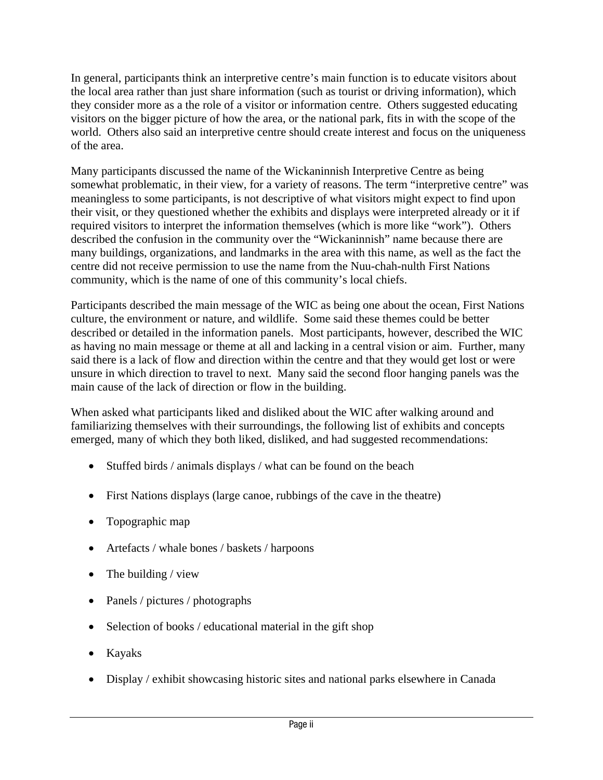In general, participants think an interpretive centre's main function is to educate visitors about the local area rather than just share information (such as tourist or driving information), which they consider more as a the role of a visitor or information centre. Others suggested educating visitors on the bigger picture of how the area, or the national park, fits in with the scope of the world. Others also said an interpretive centre should create interest and focus on the uniqueness of the area.

Many participants discussed the name of the Wickaninnish Interpretive Centre as being somewhat problematic, in their view, for a variety of reasons. The term "interpretive centre" was meaningless to some participants, is not descriptive of what visitors might expect to find upon their visit, or they questioned whether the exhibits and displays were interpreted already or it if required visitors to interpret the information themselves (which is more like "work"). Others described the confusion in the community over the "Wickaninnish" name because there are many buildings, organizations, and landmarks in the area with this name, as well as the fact the centre did not receive permission to use the name from the Nuu-chah-nulth First Nations community, which is the name of one of this community's local chiefs.

Participants described the main message of the WIC as being one about the ocean, First Nations culture, the environment or nature, and wildlife. Some said these themes could be better described or detailed in the information panels. Most participants, however, described the WIC as having no main message or theme at all and lacking in a central vision or aim. Further, many said there is a lack of flow and direction within the centre and that they would get lost or were unsure in which direction to travel to next. Many said the second floor hanging panels was the main cause of the lack of direction or flow in the building.

When asked what participants liked and disliked about the WIC after walking around and familiarizing themselves with their surroundings, the following list of exhibits and concepts emerged, many of which they both liked, disliked, and had suggested recommendations:

- Stuffed birds / animals displays / what can be found on the beach
- First Nations displays (large canoe, rubbings of the cave in the theatre)
- Topographic map
- Artefacts / whale bones / baskets / harpoons
- The building / view
- Panels / pictures / photographs
- Selection of books / educational material in the gift shop
- Kayaks
- Display / exhibit showcasing historic sites and national parks elsewhere in Canada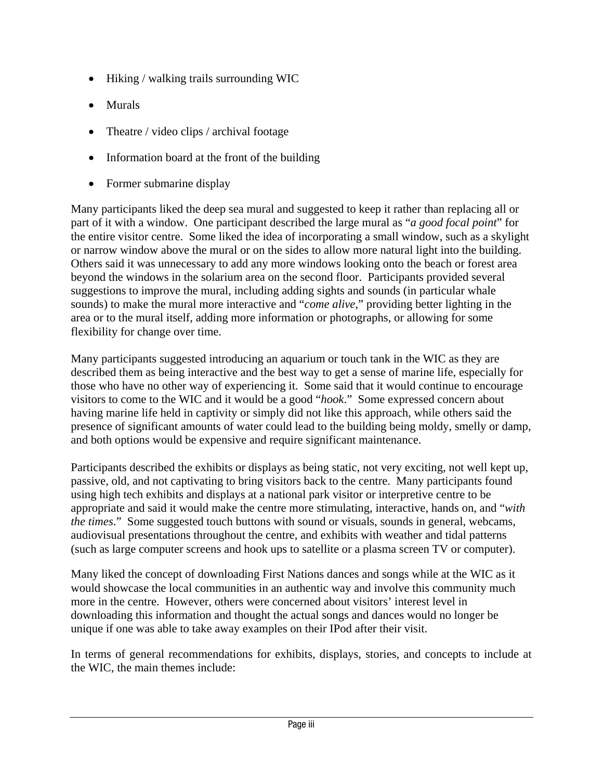- Hiking / walking trails surrounding WIC
- Murals
- Theatre / video clips / archival footage
- Information board at the front of the building
- Former submarine display

Many participants liked the deep sea mural and suggested to keep it rather than replacing all or part of it with a window. One participant described the large mural as "*a good focal point*" for the entire visitor centre. Some liked the idea of incorporating a small window, such as a skylight or narrow window above the mural or on the sides to allow more natural light into the building. Others said it was unnecessary to add any more windows looking onto the beach or forest area beyond the windows in the solarium area on the second floor. Participants provided several suggestions to improve the mural, including adding sights and sounds (in particular whale sounds) to make the mural more interactive and "*come alive*," providing better lighting in the area or to the mural itself, adding more information or photographs, or allowing for some flexibility for change over time.

Many participants suggested introducing an aquarium or touch tank in the WIC as they are described them as being interactive and the best way to get a sense of marine life, especially for those who have no other way of experiencing it. Some said that it would continue to encourage visitors to come to the WIC and it would be a good "*hook*." Some expressed concern about having marine life held in captivity or simply did not like this approach, while others said the presence of significant amounts of water could lead to the building being moldy, smelly or damp, and both options would be expensive and require significant maintenance.

Participants described the exhibits or displays as being static, not very exciting, not well kept up, passive, old, and not captivating to bring visitors back to the centre. Many participants found using high tech exhibits and displays at a national park visitor or interpretive centre to be appropriate and said it would make the centre more stimulating, interactive, hands on, and "*with the times*." Some suggested touch buttons with sound or visuals, sounds in general, webcams, audiovisual presentations throughout the centre, and exhibits with weather and tidal patterns (such as large computer screens and hook ups to satellite or a plasma screen TV or computer).

Many liked the concept of downloading First Nations dances and songs while at the WIC as it would showcase the local communities in an authentic way and involve this community much more in the centre. However, others were concerned about visitors' interest level in downloading this information and thought the actual songs and dances would no longer be unique if one was able to take away examples on their IPod after their visit.

In terms of general recommendations for exhibits, displays, stories, and concepts to include at the WIC, the main themes include: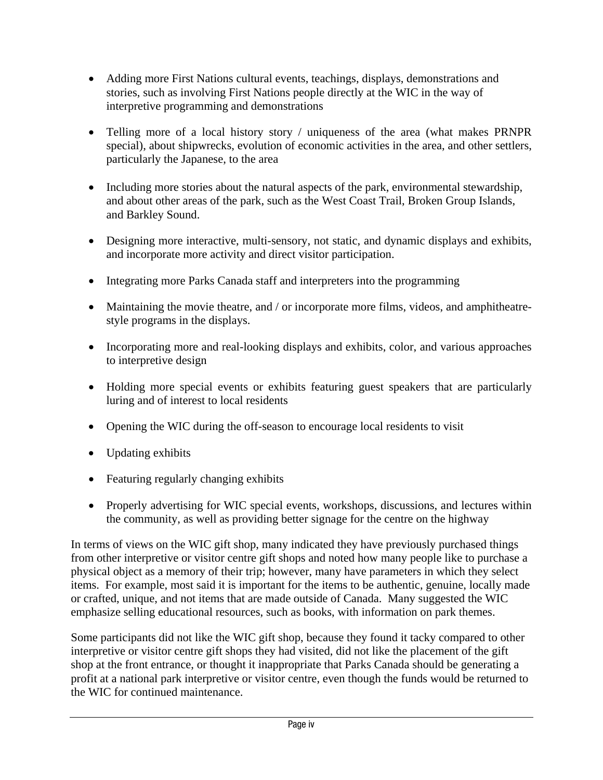- Adding more First Nations cultural events, teachings, displays, demonstrations and stories, such as involving First Nations people directly at the WIC in the way of interpretive programming and demonstrations
- Telling more of a local history story / uniqueness of the area (what makes PRNPR special), about shipwrecks, evolution of economic activities in the area, and other settlers, particularly the Japanese, to the area
- Including more stories about the natural aspects of the park, environmental stewardship, and about other areas of the park, such as the West Coast Trail, Broken Group Islands, and Barkley Sound.
- Designing more interactive, multi-sensory, not static, and dynamic displays and exhibits, and incorporate more activity and direct visitor participation.
- Integrating more Parks Canada staff and interpreters into the programming
- Maintaining the movie theatre, and / or incorporate more films, videos, and amphitheatrestyle programs in the displays.
- Incorporating more and real-looking displays and exhibits, color, and various approaches to interpretive design
- Holding more special events or exhibits featuring guest speakers that are particularly luring and of interest to local residents
- Opening the WIC during the off-season to encourage local residents to visit
- Updating exhibits
- Featuring regularly changing exhibits
- Properly advertising for WIC special events, workshops, discussions, and lectures within the community, as well as providing better signage for the centre on the highway

In terms of views on the WIC gift shop, many indicated they have previously purchased things from other interpretive or visitor centre gift shops and noted how many people like to purchase a physical object as a memory of their trip; however, many have parameters in which they select items. For example, most said it is important for the items to be authentic, genuine, locally made or crafted, unique, and not items that are made outside of Canada. Many suggested the WIC emphasize selling educational resources, such as books, with information on park themes.

Some participants did not like the WIC gift shop, because they found it tacky compared to other interpretive or visitor centre gift shops they had visited, did not like the placement of the gift shop at the front entrance, or thought it inappropriate that Parks Canada should be generating a profit at a national park interpretive or visitor centre, even though the funds would be returned to the WIC for continued maintenance.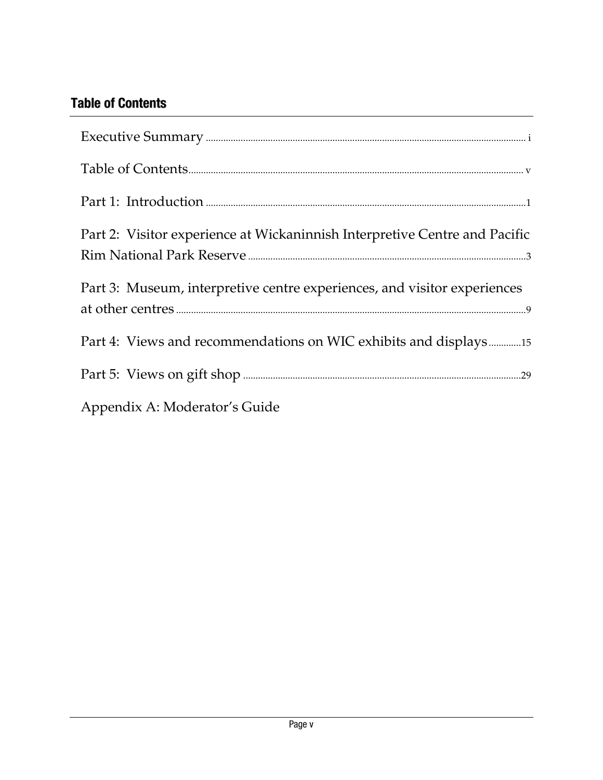# <span id="page-5-0"></span>**Table of Contents**

| Part 2: Visitor experience at Wickaninnish Interpretive Centre and Pacific |
|----------------------------------------------------------------------------|
| Part 3: Museum, interpretive centre experiences, and visitor experiences   |
|                                                                            |
|                                                                            |
| Appendix A: Moderator's Guide                                              |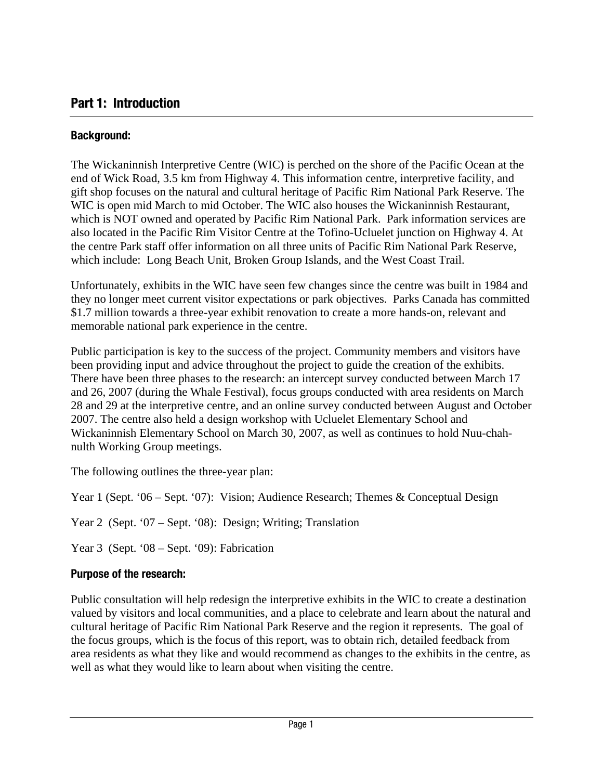# <span id="page-6-0"></span>**Part 1: Introduction**

# **Background:**

The Wickaninnish Interpretive Centre (WIC) is perched on the shore of the Pacific Ocean at the end of Wick Road, 3.5 km from Highway 4. This information centre, interpretive facility, and gift shop focuses on the natural and cultural heritage of Pacific Rim National Park Reserve. The WIC is open mid March to mid October. The WIC also houses the Wickaninnish Restaurant, which is NOT owned and operated by Pacific Rim National Park. Park information services are also located in the Pacific Rim Visitor Centre at the Tofino-Ucluelet junction on Highway 4. At the centre Park staff offer information on all three units of Pacific Rim National Park Reserve, which include: Long Beach Unit, Broken Group Islands, and the West Coast Trail.

Unfortunately, exhibits in the WIC have seen few changes since the centre was built in 1984 and they no longer meet current visitor expectations or park objectives. Parks Canada has committed \$1.7 million towards a three-year exhibit renovation to create a more hands-on, relevant and memorable national park experience in the centre.

Public participation is key to the success of the project. Community members and visitors have been providing input and advice throughout the project to guide the creation of the exhibits. There have been three phases to the research: an intercept survey conducted between March 17 and 26, 2007 (during the Whale Festival), focus groups conducted with area residents on March 28 and 29 at the interpretive centre, and an online survey conducted between August and October 2007. The centre also held a design workshop with Ucluelet Elementary School and Wickaninnish Elementary School on March 30, 2007, as well as continues to hold Nuu-chahnulth Working Group meetings.

The following outlines the three-year plan:

Year 1 (Sept. '06 – Sept. '07): Vision; Audience Research; Themes & Conceptual Design

Year 2 (Sept. '07 – Sept. '08): Design; Writing; Translation

Year 3 (Sept. '08 – Sept. '09): Fabrication

# **Purpose of the research:**

Public consultation will help redesign the interpretive exhibits in the WIC to create a destination valued by visitors and local communities, and a place to celebrate and learn about the natural and cultural heritage of Pacific Rim National Park Reserve and the region it represents. The goal of the focus groups, which is the focus of this report, was to obtain rich, detailed feedback from area residents as what they like and would recommend as changes to the exhibits in the centre, as well as what they would like to learn about when visiting the centre.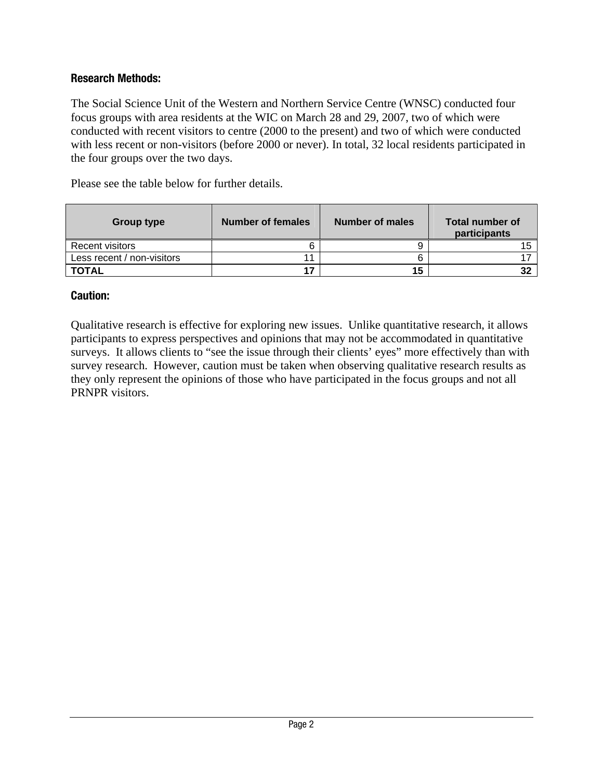# **Research Methods:**

The Social Science Unit of the Western and Northern Service Centre (WNSC) conducted four focus groups with area residents at the WIC on March 28 and 29, 2007, two of which were conducted with recent visitors to centre (2000 to the present) and two of which were conducted with less recent or non-visitors (before 2000 or never). In total, 32 local residents participated in the four groups over the two days.

Please see the table below for further details.

| Group type                 | Number of females | Number of males | <b>Total number of</b><br>participants |
|----------------------------|-------------------|-----------------|----------------------------------------|
| <b>Recent visitors</b>     |                   |                 |                                        |
| Less recent / non-visitors |                   |                 |                                        |
| <b>TOTAL</b>               | 17                | 15              | 32                                     |

#### **Caution:**

Qualitative research is effective for exploring new issues. Unlike quantitative research, it allows participants to express perspectives and opinions that may not be accommodated in quantitative surveys. It allows clients to "see the issue through their clients' eyes" more effectively than with survey research. However, caution must be taken when observing qualitative research results as they only represent the opinions of those who have participated in the focus groups and not all PRNPR visitors.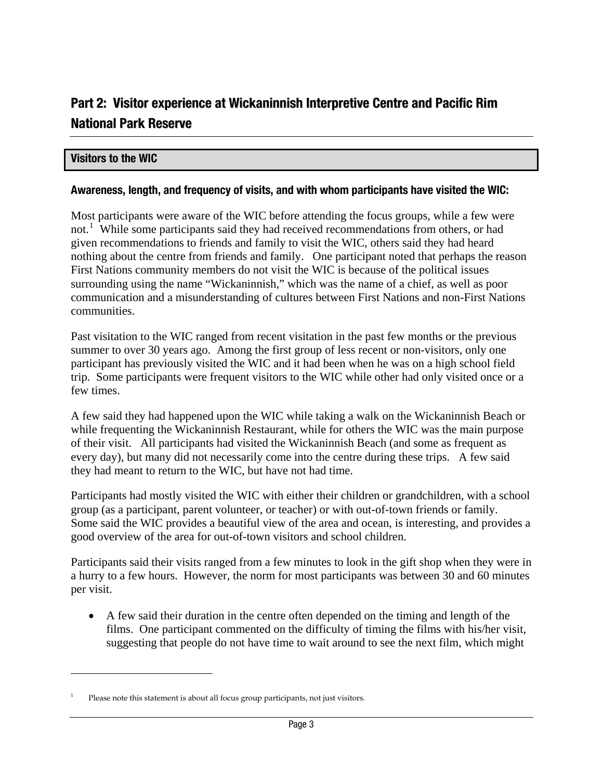# <span id="page-8-0"></span>**Part 2: Visitor experience at Wickaninnish Interpretive Centre and Pacific Rim National Park Reserve**

## **Visitors to the WIC**

 $\overline{a}$ 

#### **Awareness, length, and frequency of visits, and with whom participants have visited the WIC:**

Most participants were aware of the WIC before attending the focus groups, while a few were not.<sup>[1](#page-8-0)</sup> While some participants said they had received recommendations from others, or had given recommendations to friends and family to visit the WIC, others said they had heard nothing about the centre from friends and family. One participant noted that perhaps the reaso n First Nations community members do not visit the WIC is because of the political issues surrounding using the name "Wickaninnish," which was the name of a chief, as well as poor communication and a misunderstanding of cultures between First Nations and non-First Nations communities.

Past visitation to the WIC ranged from recent visitation in the past few months or the previous trip. Some participants were frequent visitors to the WIC while other had only visited once or a few times. summer to over 30 years ago. Among the first group of less recent or non-visitors, only one participant has previously visited the WIC and it had been when he was on a high school field

while frequenting the Wickaninnish Restaurant, while for others the WIC was the main purpose every day), but many did not necessarily come into the centre during these trips. A few said they had meant to return to the WIC, but have not had time. A few said they had happened upon the WIC while taking a walk on the Wickaninnish Beach or of their visit. All participants had visited the Wickaninnish Beach (and some as frequent as

Participants had mostly visited the WIC with either their children or grandchildren, with a school Some said the WIC provides a beautiful view of the area and ocean, is interesting, and provides a good overview of the area for out-of-town visitors and school children. group (as a participant, parent volunteer, or teacher) or with out-of-town friends or family.

a hurry to a few hours. However, the norm for most participants was between 30 and 60 minutes per visit. Participants said their visits ranged from a few minutes to look in the gift shop when they were in

suggesting that people do not have time to wait around to see the next film, which might • A few said their duration in the centre often depended on the timing and length of the films. One participant commented on the difficulty of timing the films with his/her visit,

<sup>1</sup> Please note this statement is about all focus group participants, not just visitors.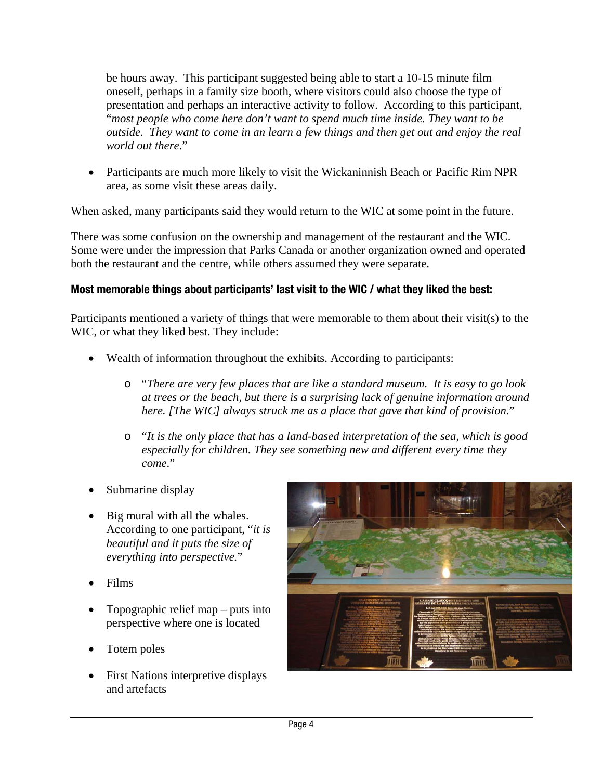be hours away. This participant suggested being able to start a 10-15 minute film oneself, perhaps in a family size booth, where visitors could also choose the type of presentation and perhaps an interactive activity to follow. According to this participant, "*most people who come here don't want to spend much time inside. They want to be outside. They wan t to come in an learn a few things and then get out and enjoy the real world out there*."

• Participants are much more likely to visit the Wickaninnish Beach or Pacific Rim NPR area, as some visit these areas daily.

When asked, many participants said they would return to the WIC at some point in the future.

Some were under the impression that Parks Canada or another organization owned and operated both the restaurant and the centre, while others assumed they were separate. There was some confusion on the ownership and management of the restaurant and the WIC.

# **Most memorable things about participants' last visit to the WIC / what they liked the best:**

Participants mentioned a variety of things that were memorable to them about their visit(s) to the WIC, or what they liked best. They include:

- Wealth of information throughout the exhibits. According to participants:
	- at trees or the beach, but there is a surprising lack of genuine information around *here. [The WIC] always struck me as a place that gave that kind of provision*." o "*There are very few places that are like a standard museum. It is easy to go look*
	- $\circ$  "It is the only place that has a land-based interpretation of the sea, which is good  *for children. They see something new and different every time they especially come*."
- Submarine display
- *f beautiful and it puts the size o everything into perspective.*" • Big mural with all the whales. According to one participant, "*it is*
- Films
- Topographic relief map  $-$  puts into perspective where one is located
- Totem poles
- First Nations interpretive displays and artefacts

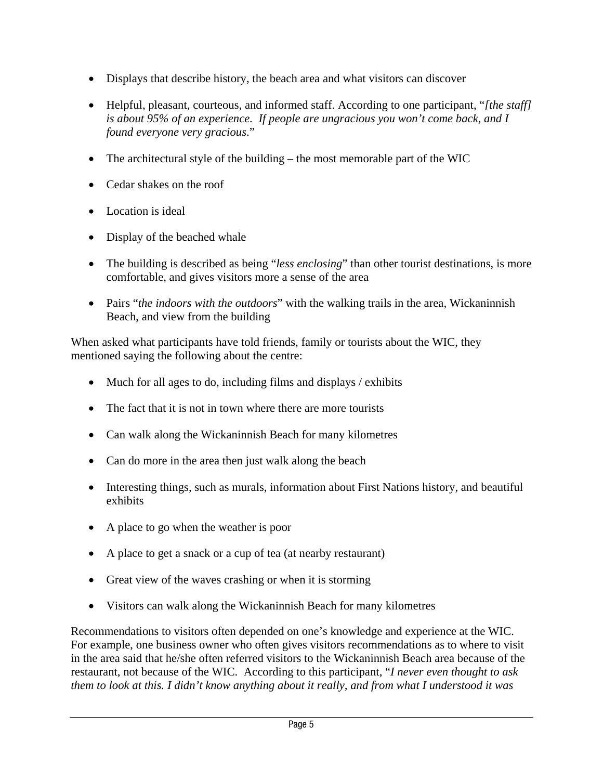- Displays that describe history, the beach area and what visitors can discover
- Helpful, pleasant, courteous, and informed staff. According to one participant, "*[the staff] is about 95% of an experience. If people are ungracious you won't come back, and I found everyone very gracious*."
- The architectural style of the building the most memorable part of the WIC
- Cedar shakes on the roof
- Location is ideal
- Display of the beached whale
- The building is described as being "*less enclosing*" than other tourist destinations, is more comfortable, and gives visitors more a sense of the area
- Pairs "*the indoors with the outdoors*" with the walking trails in the area, Wickaninnish Beach, and view from the building

When asked what participants have told friends, family or tourists about the WIC, they mentioned saying the following about the centre:

- Much for all ages to do, including films and displays / exhibits
- The fact that it is not in town where there are more tourists
- Can walk along the Wickaninnish Beach for many kilometres
- Can do more in the area then just walk along the beach
- Interesting things, such as murals, information about First Nations history, and beautiful exhibits
- A place to go when the weather is poor
- A place to get a snack or a cup of tea (at nearby restaurant)
- Great view of the waves crashing or when it is storming
- Visitors can walk along the Wickaninnish Beach for many kilometres

Recommendations to visitors often depended on one's knowledge and experience at the WIC. For example, one business owner who often gives visitors recommendations as to where to visit in the area said that he/she often referred visitors to the Wickaninnish Beach area because of the restaurant, not because of the WIC. According to this participant, "*I never even thought to ask them to look at this. I didn't know anything about it really, and from what I understood it was*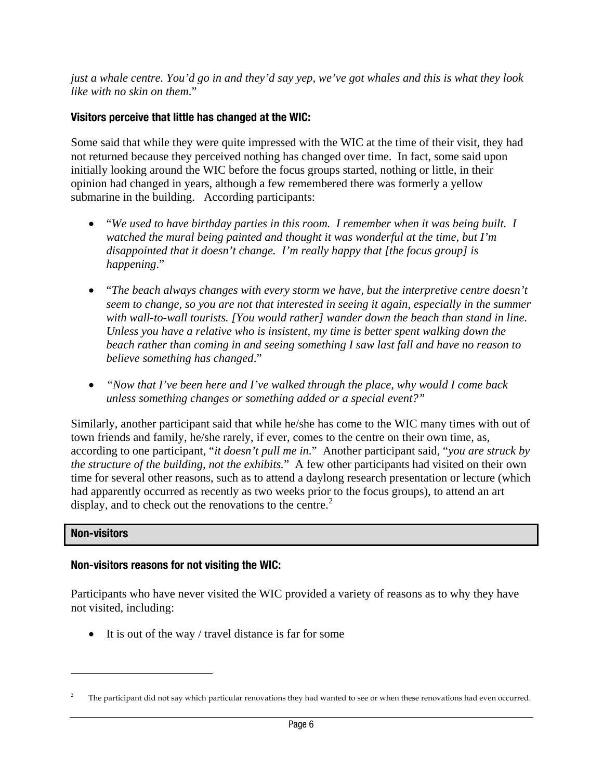<span id="page-11-0"></span>*just a whale centre. You'd go in and they'd say yep, we've got whales and this is what they look like with no skin on them*."

# **Visitors perceive that little has changed at the WIC:**

Some said that while they were quite impressed with the WIC at the time of their visit, they had not returned because they perceived nothing has changed over time. In fact, some said upon initially looking around the WIC before the focus groups started, nothing or little, in their opinion had changed in years, although a few remembered there was formerly a yellow submarine in the building. According participants:

- "*We used to have birthday parties in this room. I remember when it was being built. I watched the mural being painted and thought it was wonderful at the time, but I'm disappointed that it doesn't change. I'm really happy that [the focus group] is happening*."
- "*The beach always changes with every storm we have, but the interpretive centre doesn't seem to change, so you are not that interested in seeing it again, especially in the summer with wall-to-wall tourists. [You would rather] wander down the beach than stand in line. Unless you have a relative who is insistent, my time is better spent walking down the beach rather than coming in and seeing something I saw last fall and have no reason to believe something has changed*."
- *"Now that I've been here and I've walked through the place, why would I come back unless something changes or something added or a special event?"*

Similarly, another participant said that while he/she has come to the WIC many times with out of town friends and family, he/she rarely, if ever, comes to the centre on their own time, as, according to one participant, "*it doesn't pull me in*." Another participant said, "*you are struck by the structure of the building, not the exhibits.*" A few other participants had visited on their own time for several other reasons, such as to attend a daylong research presentation or lecture (which had apparently occurred as recently as two weeks prior to the focus groups), to attend an art display, and to check out the renovations to the centre.<sup>[2](#page-11-0)</sup>

# **Non-visitors**

 $\overline{a}$ 

# **Non-visitors reasons for not visiting the WIC:**

Participants who have never visited the WIC provided a variety of reasons as to why they have not visited, including:

• It is out of the way / travel distance is far for some

The participant did not say which particular renovations they had wanted to see or when these renovations had even occurred.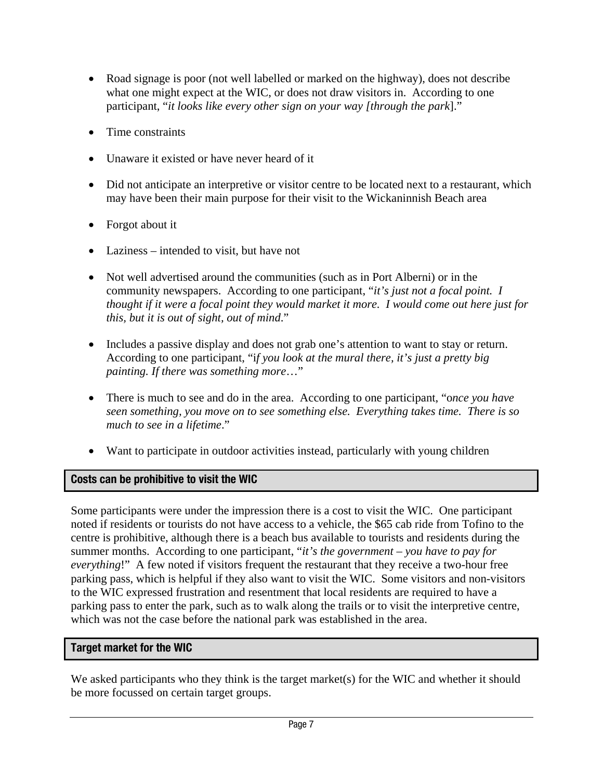- Road signage is poor (not well labelled or marked on the highway), does not describe what one might expect at the WIC, or does not draw visitors in. According to one participant, "*it looks like every other sign on your way [through the park*]."
- Time constraints
- Unaware it existed or have never heard of it
- Did not anticipate an interpretive or visitor centre to be located next to a restaurant, which may have been their main purpose for their visit to the Wickaninnish Beach area
- Forgot about it
- Laziness intended to visit, but have not
- Not well advertised around the communities (such as in Port Alberni) or in the community newspapers. According to one participant, "*it's just not a focal point. I thought if it were a focal point they would market it more. I would come out here just for this, but it is out of sight, out of mind*."
- Includes a passive display and does not grab one's attention to want to stay or return. According to one participant, "i*f you look at the mural there, it's just a pretty big painting. If there was something more*…"
- There is much to see and do in the area. According to one participant, "o*nce you have seen something, you move on to see something else. Everything takes time. There is so much to see in a lifetime*."
- Want to participate in outdoor activities instead, particularly with young children

# **Costs can be prohibitive to visit the WIC**

Some participants were under the impression there is a cost to visit the WIC. One participant noted if residents or tourists do not have access to a vehicle, the \$65 cab ride from Tofino to the centre is prohibitive, although there is a beach bus available to tourists and residents during the summer months. According to one participant, "*it's the government – you have to pay for everything*!" A few noted if visitors frequent the restaurant that they receive a two-hour free parking pass, which is helpful if they also want to visit the WIC. Some visitors and non-visitors to the WIC expressed frustration and resentment that local residents are required to have a parking pass to enter the park, such as to walk along the trails or to visit the interpretive centre, which was not the case before the national park was established in the area.

# **Target market for the WIC**

We asked participants who they think is the target market(s) for the WIC and whether it should be more focussed on certain target groups.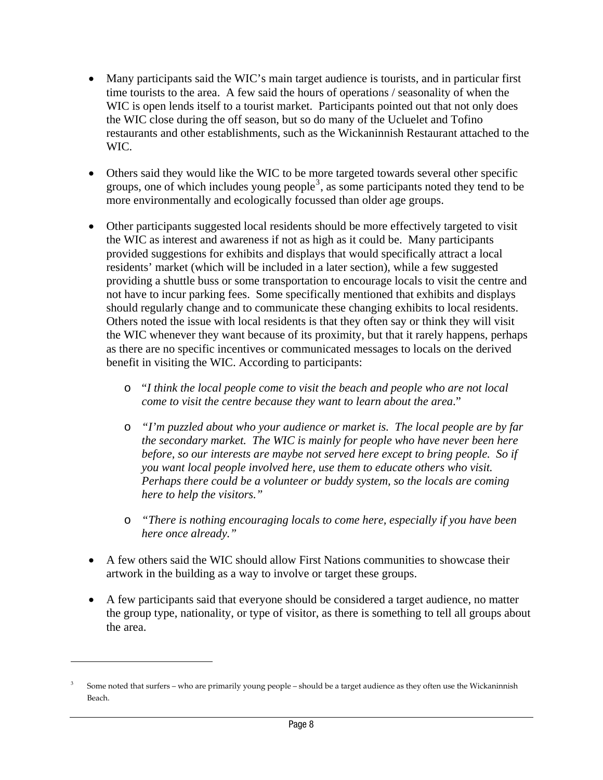- <span id="page-13-0"></span>• Many participants said the WIC's main target audience is tourists, and in particular first time tourists to the area. A few said the hours of operations / seasonality of when the WIC is open lends itself to a tourist market. Participants pointed out that not only does the WIC close during the off season, but so do many of the Ucluelet and Tofino restaurants and other establishments, such as the Wickaninnish Restaurant attached to the WIC.
- Others said they would like the WIC to be more targeted towards several other specific groups, one of which includes young people<sup>[3](#page-13-0)</sup>, as some participants noted they tend to be more environmentally and ecologically focussed than older age groups.
- Other participants suggested local residents should be more effectively targeted to visit the WIC as interest and awareness if not as high as it could be. Many participants provided suggestions for exhibits and displays that would specifically attract a local residents' market (which will be included in a later section), while a few suggested providing a shuttle buss or some transportation to encourage locals to visit the centre and not have to incur parking fees. Some specifically mentioned that exhibits and displays should regularly change and to communicate these changing exhibits to local residents. Others noted the issue with local residents is that they often say or think they will visit the WIC whenever they want because of its proximity, but that it rarely happens, perhaps as there are no specific incentives or communicated messages to locals on the derived benefit in visiting the WIC. According to participants:
	- o "*I think the local people come to visit the beach and people who are not local come to visit the centre because they want to learn about the area*."
	- o *"I'm puzzled about who your audience or market is. The local people are by far the secondary market. The WIC is mainly for people who have never been here before, so our interests are maybe not served here except to bring people. So if you want local people involved here, use them to educate others who visit. Perhaps there could be a volunteer or buddy system, so the locals are coming here to help the visitors."*
	- o *"There is nothing encouraging locals to come here, especially if you have been here once already."*
- A few others said the WIC should allow First Nations communities to showcase their artwork in the building as a way to involve or target these groups.
- A few participants said that everyone should be considered a target audience, no matter the group type, nationality, or type of visitor, as there is something to tell all groups about the area.

 $\overline{a}$ 

<sup>3</sup> Some noted that surfers – who are primarily young people – should be a target audience as they often use the Wickaninnish Beach.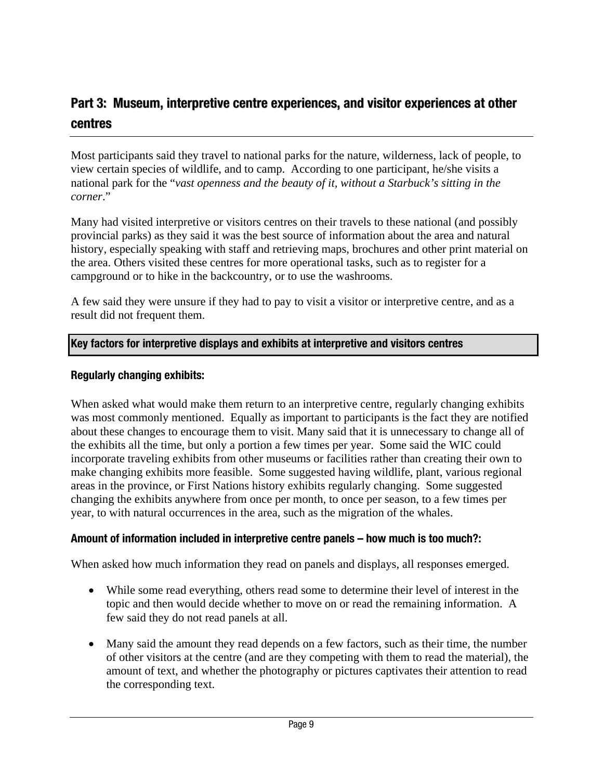# <span id="page-14-0"></span>**Part 3: Museum, interpretive centre experiences, and visitor experiences at other centres**

Most participants said they travel to national parks for the nature, wilderness, lack of people, to view certain species of wildlife, and to camp. According to one participant, he/she visits a national park for the "*vast openness and the beauty of it, without a Starbuck's sitting in the corner*."

Many had visited interpretive or visitors centres on their travels to these national (and possibly provincial parks) as they said it was the best source of information about the area and natural history, especially speaking with staff and retrieving maps, brochures and other print material on the area. Others visited these centres for more operational tasks, such as to register for a campground or to hike in the backcountry, or to use the washrooms.

A few said they were unsure if they had to pay to visit a visitor or interpretive centre, and as a result did not frequent them.

# **Key factors for interpretive displays and exhibits at interpretive and visitors centres**

#### **Regularly changing exhibits:**

When asked what would make them return to an interpretive centre, regularly changing exhibits was most commonly mentioned. Equally as important to participants is the fact they are notified about these changes to encourage them to visit. Many said that it is unnecessary to change all of the exhibits all the time, but only a portion a few times per year. Some said the WIC could incorporate traveling exhibits from other museums or facilities rather than creating their own to make changing exhibits more feasible. Some suggested having wildlife, plant, various regional areas in the province, or First Nations history exhibits regularly changing. Some suggested changing the exhibits anywhere from once per month, to once per season, to a few times per year, to with natural occurrences in the area, such as the migration of the whales.

# **Amount of information included in interpretive centre panels – how much is too much?:**

When asked how much information they read on panels and displays, all responses emerged.

- While some read everything, others read some to determine their level of interest in the topic and then would decide whether to move on or read the remaining information. A few said they do not read panels at all.
- Many said the amount they read depends on a few factors, such as their time, the number of other visitors at the centre (and are they competing with them to read the material), the amount of text, and whether the photography or pictures captivates their attention to read the corresponding text.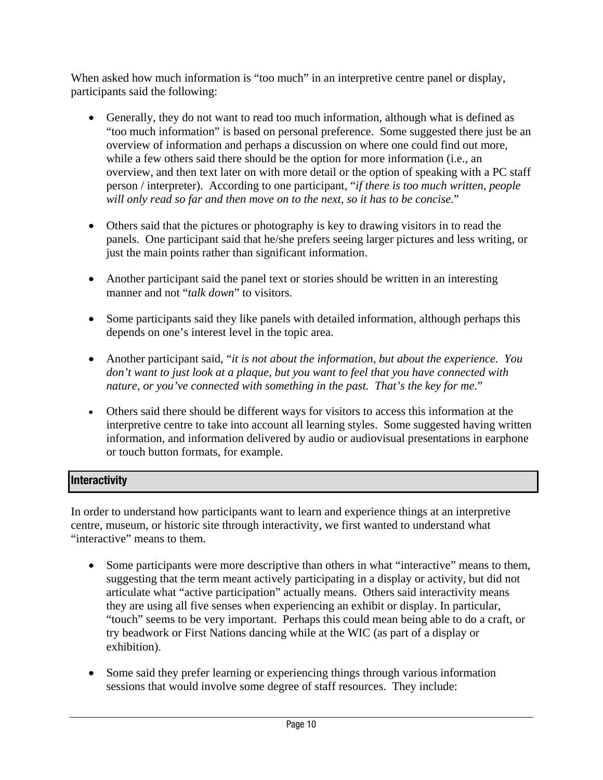When asked how much information is "too much" in an interpretive centre panel or display, participants said the following:

- Generally, they do not want to read too much information, although what is defined as "too much information" is based on personal preference. Some suggested there just be an overview of information and perhaps a discussion on where one could find out more, while a few others said there should be the option for more information (i.e., an overview, and then text later on with more detail or the option of speaking with a PC staff person / interpreter). According to one participant, "*if there is too much written, people will only read so far and then move on to the next, so it has to be concise*."
- Others said that the pictures or photography is key to drawing visitors in to read the panels. One participant said that he/she prefers seeing larger pictures and less writing, or just the main points rather than significant information.
- Another participant said the panel text or stories should be written in an interesting manner and not "*talk down*" to visitors.
- Some participants said they like panels with detailed information, although perhaps this depends on one's interest level in the topic area.
- Another participant said, "*it is not about the information, but about the experience. You don't want to just look at a plaque, but you want to feel that you have connected with nature, or you've connected with something in the past. That's the key for me*."
- Others said there should be different ways for visitors to access this information at the interpretive centre to take into account all learning styles. Some suggested having written information, and information delivered by audio or audiovisual presentations in earphone or touch button formats, for example.

# **Interactivity**

In order to understand how participants want to learn and experience things at an interpretive centre, museum, or historic site through interactivity, we first wanted to understand what "interactive" means to them.

- Some participants were more descriptive than others in what "interactive" means to them, suggesting that the term meant actively participating in a display or activity, but did not articulate what "active participation" actually means. Others said interactivity means they are using all five senses when experiencing an exhibit or display. In particular, "touch" seems to be very important. Perhaps this could mean being able to do a craft, or try beadwork or First Nations dancing while at the WIC (as part of a display or exhibition).
- Some said they prefer learning or experiencing things through various information sessions that would involve some degree of staff resources. They include: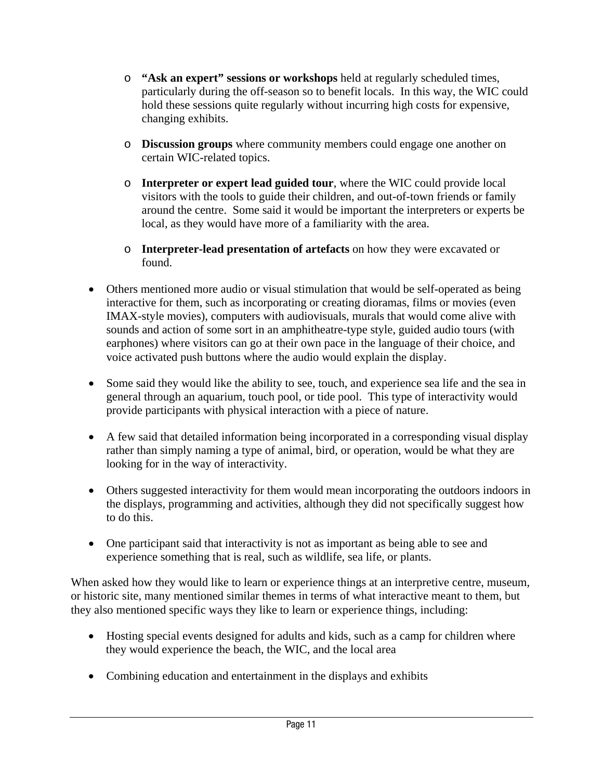- o **"Ask an expert" sessions or workshops** held at regularly scheduled times, particularly during the off-season so to benefit locals. In this way, the WIC could hold these sessions quite regularly without incurring high costs for expensive, changing exhibits.
- o **Discussion groups** where community members could engage one another on certain WIC-related topics.
- o **Interpreter or expert lead guided tour**, where the WIC could provide local visitors with the tools to guide their children, and out-of-town friends or family around the centre. Some said it would be important the interpreters or experts be local, as they would have more of a familiarity with the area.
- o **Interpreter-lead presentation of artefacts** on how they were excavated or found.
- Others mentioned more audio or visual stimulation that would be self-operated as being interactive for them, such as incorporating or creating dioramas, films or movies (even IMAX-style movies), computers with audiovisuals, murals that would come alive with sounds and action of some sort in an amphitheatre-type style, guided audio tours (with earphones) where visitors can go at their own pace in the language of their choice, and voice activated push buttons where the audio would explain the display.
- Some said they would like the ability to see, touch, and experience sea life and the sea in general through an aquarium, touch pool, or tide pool. This type of interactivity would provide participants with physical interaction with a piece of nature.
- A few said that detailed information being incorporated in a corresponding visual display rather than simply naming a type of animal, bird, or operation, would be what they are looking for in the way of interactivity.
- Others suggested interactivity for them would mean incorporating the outdoors indoors in the displays, programming and activities, although they did not specifically suggest how to do this.
- One participant said that interactivity is not as important as being able to see and experience something that is real, such as wildlife, sea life, or plants.

When asked how they would like to learn or experience things at an interpretive centre, museum, or historic site, many mentioned similar themes in terms of what interactive meant to them, but they also mentioned specific ways they like to learn or experience things, including:

- Hosting special events designed for adults and kids, such as a camp for children where they would experience the beach, the WIC, and the local area
- Combining education and entertainment in the displays and exhibits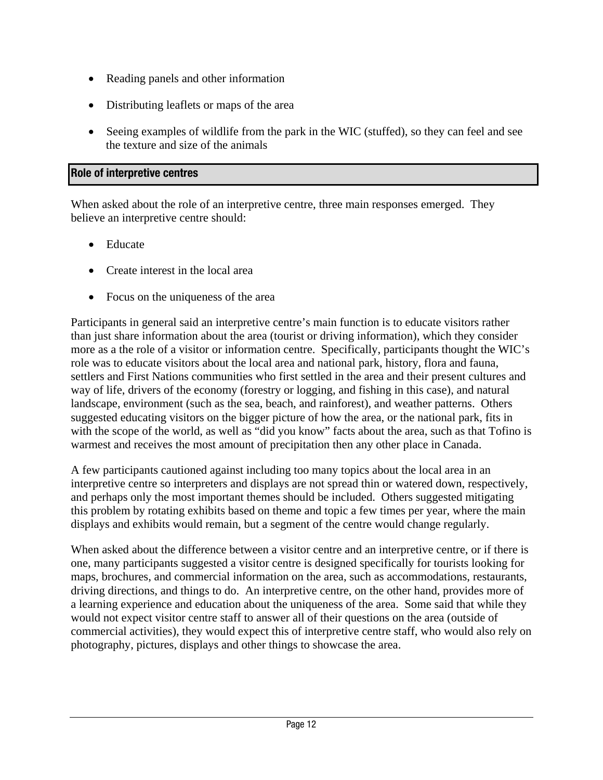- Reading panels and other information
- Distributing leaflets or maps of the area
- Seeing examples of wildlife from the park in the WIC (stuffed), so they can feel and see the texture and size of the animals

## **Role of interpretive centres**

When asked about the role of an interpretive centre, three main responses emerged. They believe an interpretive centre should:

- Educate
- Create interest in the local area
- Focus on the uniqueness of the area

Participants in general said an interpretive centre's main function is to educate visitors rather than just share information about the area (tourist or driving information), which they consider more as a the role of a visitor or information centre. Specifically, participants thought the WIC's role was to educate visitors about the local area and national park, history, flora and fauna, settlers and First Nations communities who first settled in the area and their present cultures and way of life, drivers of the economy (forestry or logging, and fishing in this case), and natural landscape, environment (such as the sea, beach, and rainforest), and weather patterns. Others suggested educating visitors on the bigger picture of how the area, or the national park, fits in with the scope of the world, as well as "did you know" facts about the area, such as that Tofino is warmest and receives the most amount of precipitation then any other place in Canada.

A few participants cautioned against including too many topics about the local area in an interpretive centre so interpreters and displays are not spread thin or watered down, respectively, and perhaps only the most important themes should be included. Others suggested mitigating this problem by rotating exhibits based on theme and topic a few times per year, where the main displays and exhibits would remain, but a segment of the centre would change regularly.

When asked about the difference between a visitor centre and an interpretive centre, or if there is one, many participants suggested a visitor centre is designed specifically for tourists looking for maps, brochures, and commercial information on the area, such as accommodations, restaurants, driving directions, and things to do. An interpretive centre, on the other hand, provides more of a learning experience and education about the uniqueness of the area. Some said that while they would not expect visitor centre staff to answer all of their questions on the area (outside of commercial activities), they would expect this of interpretive centre staff, who would also rely on photography, pictures, displays and other things to showcase the area.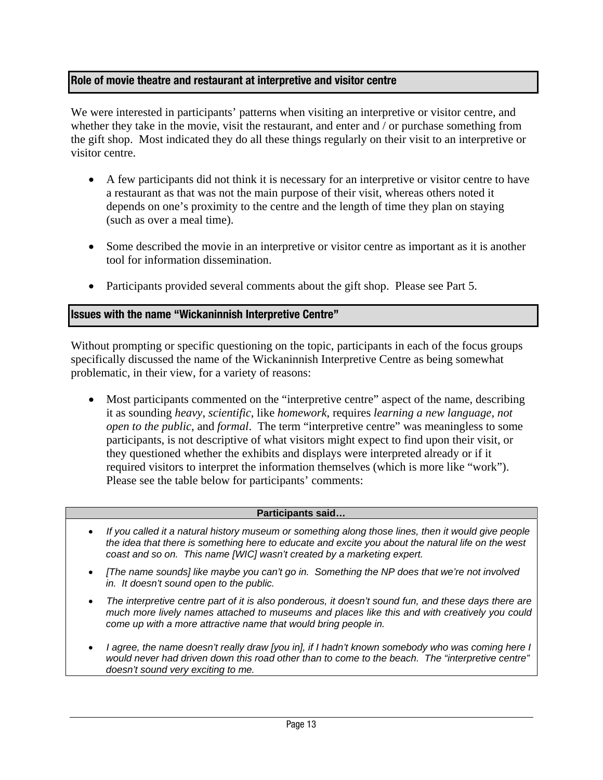# **Role of movie theatre and restaurant at interpretive and visitor centre**

We were interested in participants' patterns when visiting an interpretive or visitor centre, and whether they take in the movie, visit the restaurant, and enter and / or purchase something from the gift shop. Most indicated they do all these things regularly on their visit to an interpretive or visitor centre.

- A few participants did not think it is necessary for an interpretive or visitor centre to have a restaurant as that was not the main purpose of their visit, whereas others noted it depends on one's proximity to the centre and the length of time they plan on staying (such as over a meal time).
- Some described the movie in an interpretive or visitor centre as important as it is another tool for information dissemination.
- Participants provided several comments about the gift shop. Please see Part 5.

#### **Issues with the name "Wickaninnish Interpretive Centre"**

Without prompting or specific questioning on the topic, participants in each of the focus groups specifically discussed the name of the Wickaninnish Interpretive Centre as being somewhat problematic, in their view, for a variety of reasons:

• Most participants commented on the "interpretive centre" aspect of the name, describing it as sounding *heavy*, *scientific*, like *homework*, requires *learning a new language*, *not open to the public*, and *formal*. The term "interpretive centre" was meaningless to some participants, is not descriptive of what visitors might expect to find upon their visit, or they questioned whether the exhibits and displays were interpreted already or if it required visitors to interpret the information themselves (which is more like "work"). Please see the table below for participants' comments:

#### **Participants said…**

- *If you called it a natural history museum or something along those lines, then it would give people the idea that there is something here to educate and excite you about the natural life on the west coast and so on. This name [WIC] wasn't created by a marketing expert.*
- *[The name sounds] like maybe you can't go in. Something the NP does that we're not involved in. It doesn't sound open to the public.*
- *The interpretive centre part of it is also ponderous, it doesn't sound fun, and these days there are much more lively names attached to museums and places like this and with creatively you could come up with a more attractive name that would bring people in.*
- *I agree, the name doesn't really draw [you in], if I hadn't known somebody who was coming here I would never had driven down this road other than to come to the beach. The "interpretive centre" doesn't sound very exciting to me.*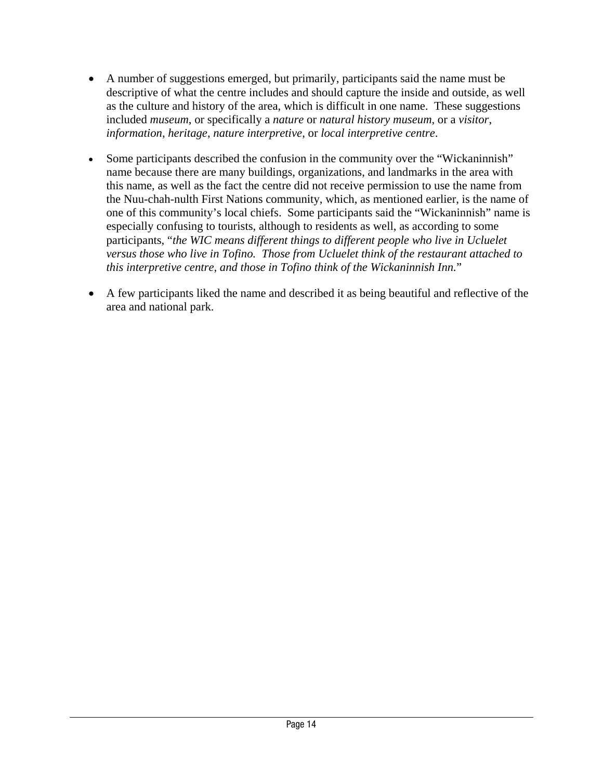- A number of suggestions emerged, but primarily, participants said the name must be descriptive of what the centre includes and should capture the inside and outside, as well as the culture and history of the area, which is difficult in one name. These suggestions included *museum*, or specifically a *nature* or *natural history museum*, or a *visitor*, *information, heritage, nature interpretive*, or *local interpretive centre*.
- Some participants described the confusion in the community over the "Wickaninnish" name because there are many buildings, organizations, and landmarks in the area with this name, as well as the fact the centre did not receive permission to use the name from the Nuu-chah-nulth First Nations community, which, as mentioned earlier, is the name of one of this community's local chiefs. Some participants said the "Wickaninnish" name is especially confusing to tourists, although to residents as well, as according to some participants, "*the WIC means different things to different people who live in Ucluelet versus those who live in Tofino. Those from Ucluelet think of the restaurant attached to this interpretive centre, and those in Tofino think of the Wickaninnish Inn.*"
- A few participants liked the name and described it as being beautiful and reflective of the area and national park.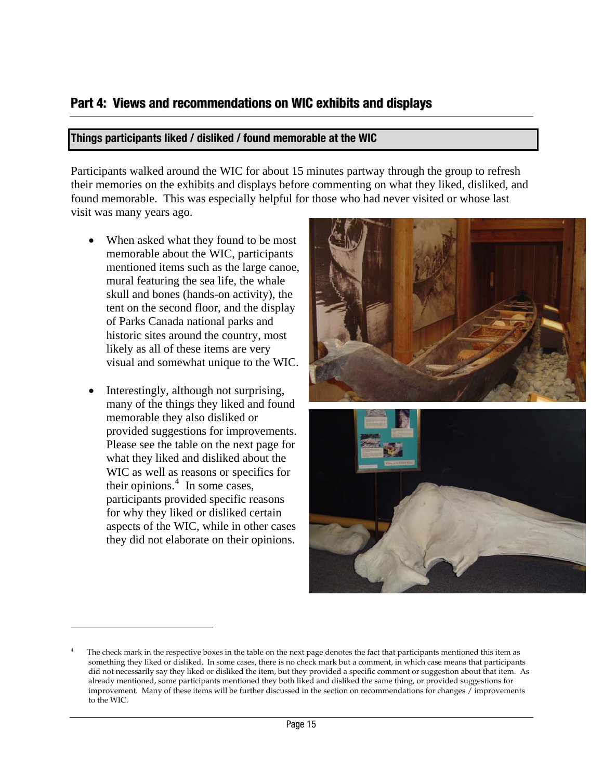# <span id="page-20-0"></span>**Part 4: Views and recommendations on WIC exhibits and displays**

#### **Things participants liked / disliked / found memorable at the WIC**

Participants walked around the WIC for about 15 minutes partway through the group to refresh their memories on the exhibits and displays before commenting on what they liked, disliked, and found memorable. This was especially helpful for those who had never visited or whose last visit was many years ago.

- When asked what they found to be most memorable about the WIC, participants mentioned items such as the large canoe, mural featuring the sea life, the whale skull and bones (hands-on activity), the tent on the second floor, and the display of Parks Canada national parks and historic sites around the country, most likely as all of these items are very visual and somewhat unique to the WIC.
- Interestingly, although not surprising, many of the things they liked and found memorable they also disliked or provided suggestions for improvements. Please see the table on the next page for what they liked and disliked about the WIC as well as reasons or specifics for their opinions. $<sup>4</sup>$  $<sup>4</sup>$  $<sup>4</sup>$  In some cases,</sup> participants provided specific reasons for why they liked or disliked certain aspects of the WIC, while in other cases they did not elaborate on their opinions.

 $\overline{a}$ 





<sup>4</sup> The check mark in the respective boxes in the table on the next page denotes the fact that participants mentioned this item as something they liked or disliked. In some cases, there is no check mark but a comment, in which case means that participants did not necessarily say they liked or disliked the item, but they provided a specific comment or suggestion about that item. As already mentioned, some participants mentioned they both liked and disliked the same thing, or provided suggestions for improvement. Many of these items will be further discussed in the section on recommendations for changes / improvements to the WIC.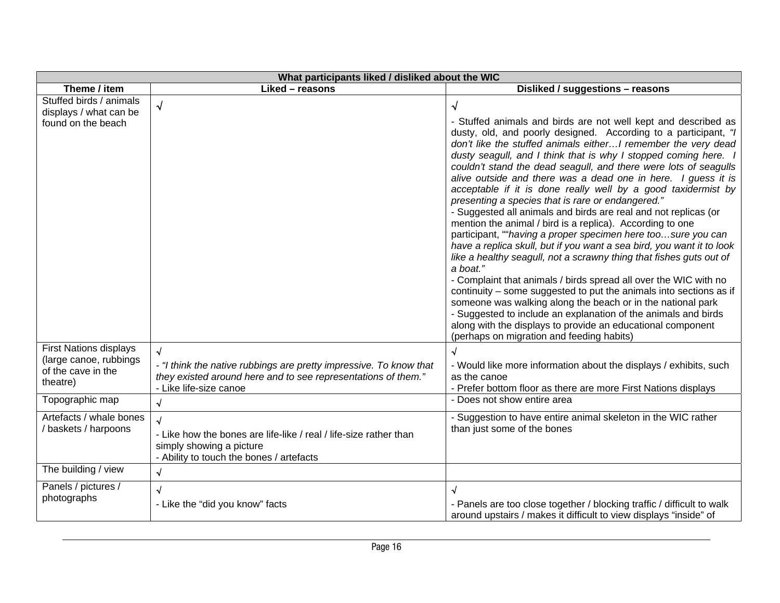| What participants liked / disliked about the WIC                                                                                        |                                                                                                                                                                                                         |                                                                                                                                                                                                                                                                                                                                                                                                                                                                                                                                                                                                                                                                                                                                                                                                                                                                                                                                                                                                                                                                                                                                                                                                                                                                                                  |  |  |
|-----------------------------------------------------------------------------------------------------------------------------------------|---------------------------------------------------------------------------------------------------------------------------------------------------------------------------------------------------------|--------------------------------------------------------------------------------------------------------------------------------------------------------------------------------------------------------------------------------------------------------------------------------------------------------------------------------------------------------------------------------------------------------------------------------------------------------------------------------------------------------------------------------------------------------------------------------------------------------------------------------------------------------------------------------------------------------------------------------------------------------------------------------------------------------------------------------------------------------------------------------------------------------------------------------------------------------------------------------------------------------------------------------------------------------------------------------------------------------------------------------------------------------------------------------------------------------------------------------------------------------------------------------------------------|--|--|
| Theme / item                                                                                                                            | Liked - reasons                                                                                                                                                                                         | Disliked / suggestions - reasons                                                                                                                                                                                                                                                                                                                                                                                                                                                                                                                                                                                                                                                                                                                                                                                                                                                                                                                                                                                                                                                                                                                                                                                                                                                                 |  |  |
| Stuffed birds / animals<br>displays / what can be<br>found on the beach                                                                 | $\sqrt{ }$                                                                                                                                                                                              | $\sqrt{}$<br>- Stuffed animals and birds are not well kept and described as<br>dusty, old, and poorly designed. According to a participant, "I<br>don't like the stuffed animals eitherI remember the very dead<br>dusty seagull, and I think that is why I stopped coming here. I<br>couldn't stand the dead seagull, and there were lots of seagulls<br>alive outside and there was a dead one in here. I guess it is<br>acceptable if it is done really well by a good taxidermist by<br>presenting a species that is rare or endangered."<br>- Suggested all animals and birds are real and not replicas (or<br>mention the animal / bird is a replica). According to one<br>participant, ""having a proper specimen here toosure you can<br>have a replica skull, but if you want a sea bird, you want it to look<br>like a healthy seagull, not a scrawny thing that fishes guts out of<br>a boat."<br>- Complaint that animals / birds spread all over the WIC with no<br>continuity – some suggested to put the animals into sections as if<br>someone was walking along the beach or in the national park<br>- Suggested to include an explanation of the animals and birds<br>along with the displays to provide an educational component<br>(perhaps on migration and feeding habits) |  |  |
| <b>First Nations displays</b><br>(large canoe, rubbings<br>of the cave in the<br>theatre)<br>Topographic map<br>Artefacts / whale bones | $\sqrt{2}$<br>- "I think the native rubbings are pretty impressive. To know that<br>they existed around here and to see representations of them."<br>- Like life-size canoe<br>$\sqrt{2}$<br>$\sqrt{2}$ | $\sqrt{ }$<br>- Would like more information about the displays / exhibits, such<br>as the canoe<br>- Prefer bottom floor as there are more First Nations displays<br>- Does not show entire area<br>- Suggestion to have entire animal skeleton in the WIC rather                                                                                                                                                                                                                                                                                                                                                                                                                                                                                                                                                                                                                                                                                                                                                                                                                                                                                                                                                                                                                                |  |  |
| / baskets / harpoons                                                                                                                    | - Like how the bones are life-like / real / life-size rather than<br>simply showing a picture<br>- Ability to touch the bones / artefacts                                                               | than just some of the bones                                                                                                                                                                                                                                                                                                                                                                                                                                                                                                                                                                                                                                                                                                                                                                                                                                                                                                                                                                                                                                                                                                                                                                                                                                                                      |  |  |
| The building / view                                                                                                                     | $\sqrt{2}$                                                                                                                                                                                              |                                                                                                                                                                                                                                                                                                                                                                                                                                                                                                                                                                                                                                                                                                                                                                                                                                                                                                                                                                                                                                                                                                                                                                                                                                                                                                  |  |  |
| Panels / pictures /<br>photographs                                                                                                      | √<br>- Like the "did you know" facts                                                                                                                                                                    | $\sqrt{ }$<br>- Panels are too close together / blocking traffic / difficult to walk<br>around upstairs / makes it difficult to view displays "inside" of                                                                                                                                                                                                                                                                                                                                                                                                                                                                                                                                                                                                                                                                                                                                                                                                                                                                                                                                                                                                                                                                                                                                        |  |  |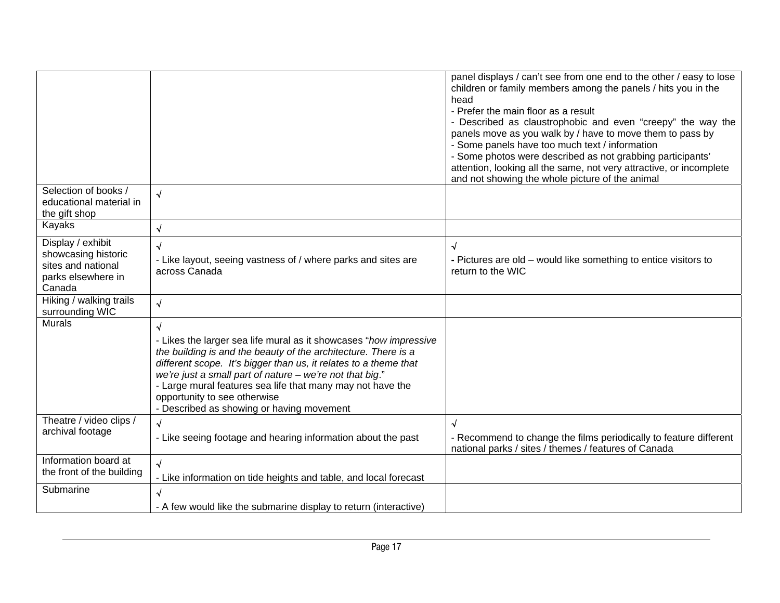|                                                                                                |                                                                                                                                                                                                                                                                                                                                                                                                                                            | panel displays / can't see from one end to the other / easy to lose<br>children or family members among the panels / hits you in the<br>head<br>- Prefer the main floor as a result<br>- Described as claustrophobic and even "creepy" the way the<br>panels move as you walk by / have to move them to pass by<br>- Some panels have too much text / information<br>- Some photos were described as not grabbing participants'<br>attention, looking all the same, not very attractive, or incomplete<br>and not showing the whole picture of the animal |
|------------------------------------------------------------------------------------------------|--------------------------------------------------------------------------------------------------------------------------------------------------------------------------------------------------------------------------------------------------------------------------------------------------------------------------------------------------------------------------------------------------------------------------------------------|-----------------------------------------------------------------------------------------------------------------------------------------------------------------------------------------------------------------------------------------------------------------------------------------------------------------------------------------------------------------------------------------------------------------------------------------------------------------------------------------------------------------------------------------------------------|
| Selection of books /<br>educational material in<br>the gift shop                               | $\sqrt{2}$                                                                                                                                                                                                                                                                                                                                                                                                                                 |                                                                                                                                                                                                                                                                                                                                                                                                                                                                                                                                                           |
| Kayaks                                                                                         | $\sqrt{2}$                                                                                                                                                                                                                                                                                                                                                                                                                                 |                                                                                                                                                                                                                                                                                                                                                                                                                                                                                                                                                           |
| Display / exhibit<br>showcasing historic<br>sites and national<br>parks elsewhere in<br>Canada | $\sqrt{ }$<br>- Like layout, seeing vastness of / where parks and sites are<br>across Canada                                                                                                                                                                                                                                                                                                                                               | √<br>- Pictures are old – would like something to entice visitors to<br>return to the WIC                                                                                                                                                                                                                                                                                                                                                                                                                                                                 |
| Hiking / walking trails<br>surrounding WIC                                                     | $\sqrt{ }$                                                                                                                                                                                                                                                                                                                                                                                                                                 |                                                                                                                                                                                                                                                                                                                                                                                                                                                                                                                                                           |
| <b>Murals</b>                                                                                  | $\overline{\mathcal{A}}$<br>- Likes the larger sea life mural as it showcases "how impressive<br>the building is and the beauty of the architecture. There is a<br>different scope. It's bigger than us, it relates to a theme that<br>we're just a small part of nature - we're not that big."<br>- Large mural features sea life that many may not have the<br>opportunity to see otherwise<br>- Described as showing or having movement |                                                                                                                                                                                                                                                                                                                                                                                                                                                                                                                                                           |
| Theatre / video clips /<br>archival footage                                                    | $\sqrt{2}$<br>- Like seeing footage and hearing information about the past                                                                                                                                                                                                                                                                                                                                                                 | $\overline{\mathsf{v}}$<br>- Recommend to change the films periodically to feature different<br>national parks / sites / themes / features of Canada                                                                                                                                                                                                                                                                                                                                                                                                      |
| Information board at<br>the front of the building                                              | $\sqrt{ }$<br>- Like information on tide heights and table, and local forecast                                                                                                                                                                                                                                                                                                                                                             |                                                                                                                                                                                                                                                                                                                                                                                                                                                                                                                                                           |
| Submarine                                                                                      |                                                                                                                                                                                                                                                                                                                                                                                                                                            |                                                                                                                                                                                                                                                                                                                                                                                                                                                                                                                                                           |
|                                                                                                | - A few would like the submarine display to return (interactive)                                                                                                                                                                                                                                                                                                                                                                           |                                                                                                                                                                                                                                                                                                                                                                                                                                                                                                                                                           |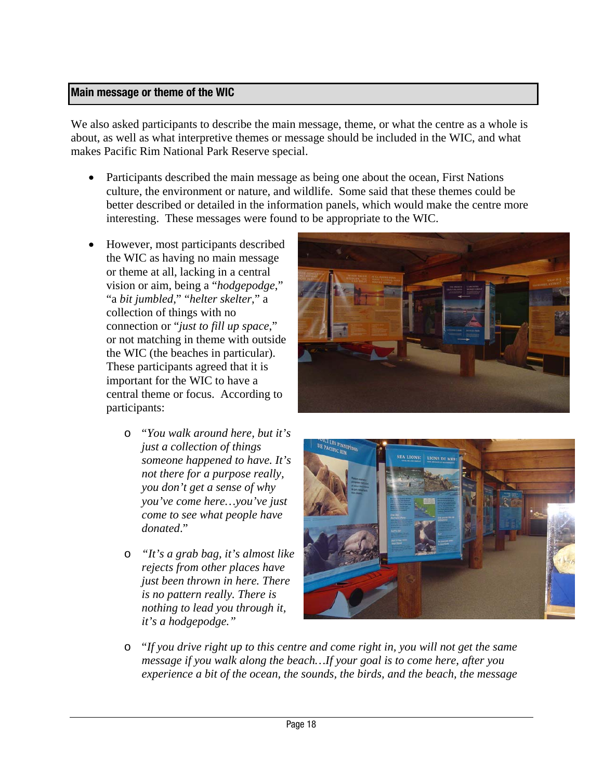#### **Main message or theme of the WIC**

We also asked participants to describe the main message, theme, or what the centre as a whole is about, as well as what interpretive themes or message should be included in the WIC, and what makes Pacific Rim National Park Reserve special.

- Participants described the main message as being one about the ocean, First Nations culture, the environment or nature, and wildlife. Some said that these themes could be better described or detailed in the information panels, which would make the centre more interesting. These messages were found to be appropriate to the WIC.
- However, most participants described the WIC as having no main message or theme at all, lacking in a central vision or aim, being a "*hodgepodge*," "a *bit jumbled*," "*helter skelter*," a collection of things with no connection or "*just to fill up space*," or not matching in theme with outside the WIC (the beaches in particular). These participants agreed that it is important for the WIC to have a central theme or focus. According to participants:
	- o "*You walk around here, but it's just a collection of things someone happened to have. It's not there for a purpose really, you don't get a sense of why you've come here…you've just come to see what people have donated*."
	- o *"It's a grab bag, it's almost like rejects from other places have just been thrown in here. There is no pattern really. There is nothing to lead you through it, it's a hodgepodge."*





o "*If you drive right up to this centre and come right in, you will not get the same message if you walk along the beach…If your goal is to come here, after you experience a bit of the ocean, the sounds, the birds, and the beach, the message*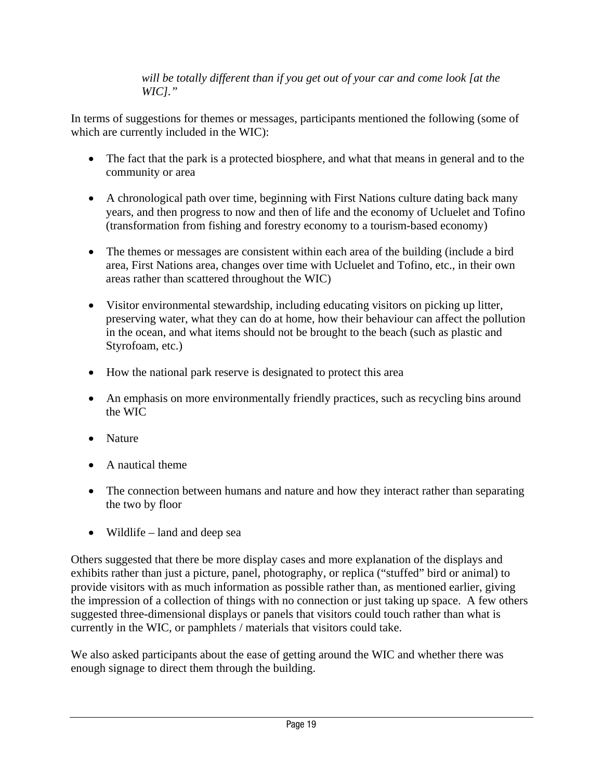*will be totally different than if you get out of your car and come look [at the WIC]."* 

In terms of suggestions for themes or messages, participants mentioned the following (some of which are currently included in the WIC):

- The fact that the park is a protected biosphere, and what that means in general and to the community or area
- A chronological path over time, beginning with First Nations culture dating back many years, and then progress to now and then of life and the economy of Ucluelet and Tofino (transformation from fishing and forestry economy to a tourism-based economy)
- The themes or messages are consistent within each area of the building (include a bird area, First Nations area, changes over time with Ucluelet and Tofino, etc., in their own areas rather than scattered throughout the WIC)
- Visitor environmental stewardship, including educating visitors on picking up litter, preserving water, what they can do at home, how their behaviour can affect the pollution in the ocean, and what items should not be brought to the beach (such as plastic and Styrofoam, etc.)
- How the national park reserve is designated to protect this area
- An emphasis on more environmentally friendly practices, such as recycling bins around the WIC
- Nature
- A nautical theme
- The connection between humans and nature and how they interact rather than separating the two by floor
- Wildlife land and deep sea

Others suggested that there be more display cases and more explanation of the displays and exhibits rather than just a picture, panel, photography, or replica ("stuffed" bird or animal) to provide visitors with as much information as possible rather than, as mentioned earlier, giving the impression of a collection of things with no connection or just taking up space. A few others suggested three-dimensional displays or panels that visitors could touch rather than what is currently in the WIC, or pamphlets / materials that visitors could take.

We also asked participants about the ease of getting around the WIC and whether there was enough signage to direct them through the building.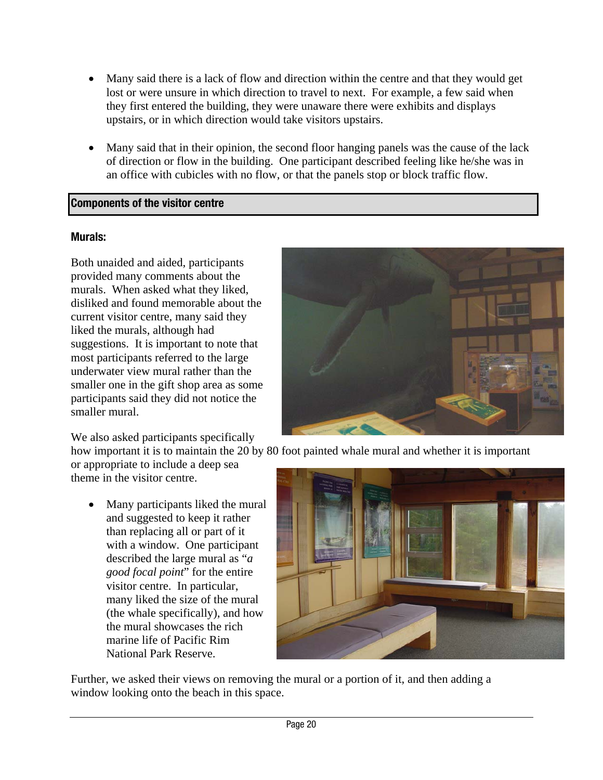- Many said there is a lack of flow and direction within the centre and that they would get lost or were unsure in which direction to travel to next. For example, a few said when they first entered the building, they were unaware there were exhibits and displays upstairs, or in which direction would take visitors upstairs.
- Many said that in their opinion, the second floor hanging panels was the cause of the lack of direction or flow in the building. One participant described feeling like he/she was in an office with cubicles with no flow, or that the panels stop or block traffic flow.

# **Components of the visitor centre**

#### **Murals:**

Both unaided and aided, participants provided many comments about the murals. When asked what they liked, disliked and found memorable about the current visitor centre, many said they liked the murals, although had suggestions. It is important to note that most participants referred to the large underwater view mural rather than the smaller one in the gift shop area as some participants said they did not notice the smaller mural.

We also asked participants specifically



how important it is to maintain the 20 by 80 foot painted whale mural and whether it is important

or appropriate to include a deep sea theme in the visitor centre.

• Many participants liked the mural and suggested to keep it rather than replacing all or part of it with a window. One participant described the large mural as "*a good focal point*" for the entire visitor centre. In particular, many liked the size of the mural (the whale specifically), and how the mural showcases the rich marine life of Pacific Rim National Park Reserve.



Further, we asked their views on removing the mural or a portion of it, and then adding a window looking onto the beach in this space.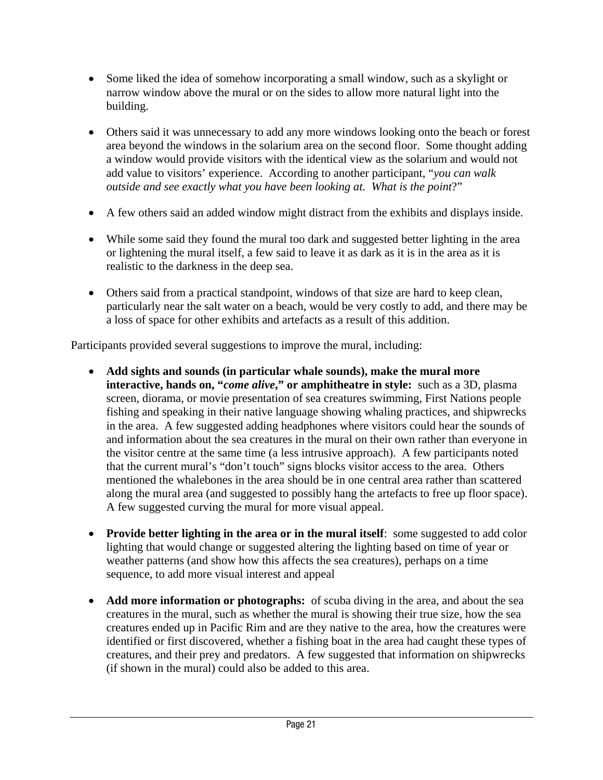- Some liked the idea of somehow incorporating a small window, such as a skylight or narrow window above the mural or on the sides to allow more natural light into the building.
- Others said it was unnecessary to add any more windows looking onto the beach or forest area beyond the windows in the solarium area on the second floor. Some thought adding a window would provide visitors with the identical view as the solarium and would not add value to visitors' experience. According to another participant, "*you can walk outside and see exactly what you have been looking at. What is the point*?"
- A few others said an added window might distract from the exhibits and displays inside.
- While some said they found the mural too dark and suggested better lighting in the area or lightening the mural itself, a few said to leave it as dark as it is in the area as it is realistic to the darkness in the deep sea.
- Others said from a practical standpoint, windows of that size are hard to keep clean, particularly near the salt water on a beach, would be very costly to add, and there may be a loss of space for other exhibits and artefacts as a result of this addition.

Participants provided several suggestions to improve the mural, including:

- **Add sights and sounds (in particular whale sounds), make the mural more interactive, hands on, "***come alive***," or amphitheatre in style:** such as a 3D, plasma screen, diorama, or movie presentation of sea creatures swimming, First Nations people fishing and speaking in their native language showing whaling practices, and shipwrecks in the area. A few suggested adding headphones where visitors could hear the sounds of and information about the sea creatures in the mural on their own rather than everyone in the visitor centre at the same time (a less intrusive approach). A few participants noted that the current mural's "don't touch" signs blocks visitor access to the area. Others mentioned the whalebones in the area should be in one central area rather than scattered along the mural area (and suggested to possibly hang the artefacts to free up floor space). A few suggested curving the mural for more visual appeal.
- **Provide better lighting in the area or in the mural itself**: some suggested to add color lighting that would change or suggested altering the lighting based on time of year or weather patterns (and show how this affects the sea creatures), perhaps on a time sequence, to add more visual interest and appeal
- **Add more information or photographs:** of scuba diving in the area, and about the sea creatures in the mural, such as whether the mural is showing their true size, how the sea creatures ended up in Pacific Rim and are they native to the area, how the creatures were identified or first discovered, whether a fishing boat in the area had caught these types of creatures, and their prey and predators. A few suggested that information on shipwrecks (if shown in the mural) could also be added to this area.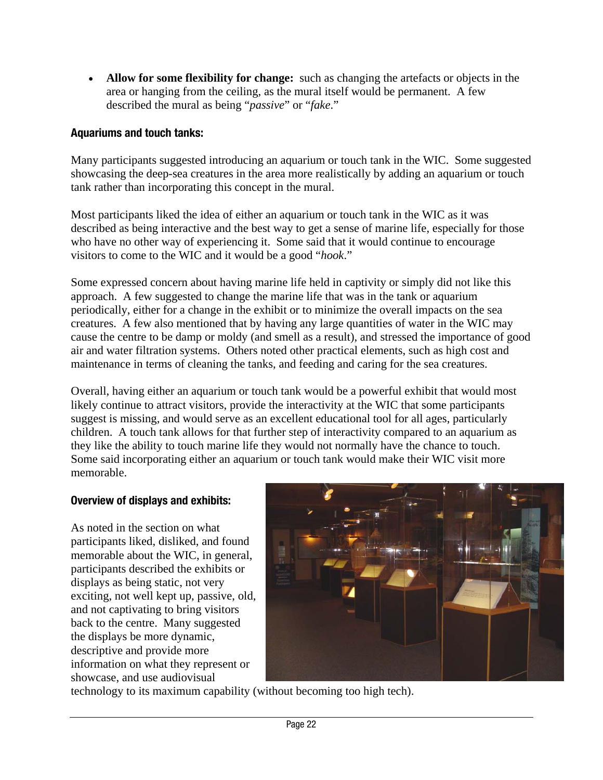• **Allow for some flexibility for change:** such as changing the artefacts or objects in the area or hanging from the ceiling, as the mural itself would be permanent. A few described the mural as being "*passive*" or "*fake*."

# **Aquariums and touch tanks:**

Many participants suggested introducing an aquarium or touch tank in the WIC. Some suggested showcasing the deep-sea creatures in the area more realistically by adding an aquarium or touch tank rather than incorporating this concept in the mural.

Most participants liked the idea of either an aquarium or touch tank in the WIC as it was described as being interactive and the best way to get a sense of marine life, especially for those who have no other way of experiencing it. Some said that it would continue to encourage visitors to come to the WIC and it would be a good "*hook*."

Some expressed concern about having marine life held in captivity or simply did not like this approach. A few suggested to change the marine life that was in the tank or aquarium periodically, either for a change in the exhibit or to minimize the overall impacts on the sea creatures. A few also mentioned that by having any large quantities of water in the WIC may cause the centre to be damp or moldy (and smell as a result), and stressed the importance of good air and water filtration systems. Others noted other practical elements, such as high cost and maintenance in terms of cleaning the tanks, and feeding and caring for the sea creatures.

Overall, having either an aquarium or touch tank would be a powerful exhibit that would most likely continue to attract visitors, provide the interactivity at the WIC that some participants suggest is missing, and would serve as an excellent educational tool for all ages, particularly children. A touch tank allows for that further step of interactivity compared to an aquarium as they like the ability to touch marine life they would not normally have the chance to touch. Some said incorporating either an aquarium or touch tank would make their WIC visit more memorable.

# **Overview of displays and exhibits:**

As noted in the section on what participants liked, disliked, and found memorable about the WIC, in general, participants described the exhibits or displays as being static, not very exciting, not well kept up, passive, old, and not captivating to bring visitors back to the centre. Many suggested the displays be more dynamic, descriptive and provide more information on what they represent or showcase, and use audiovisual



technology to its maximum capability (without becoming too high tech).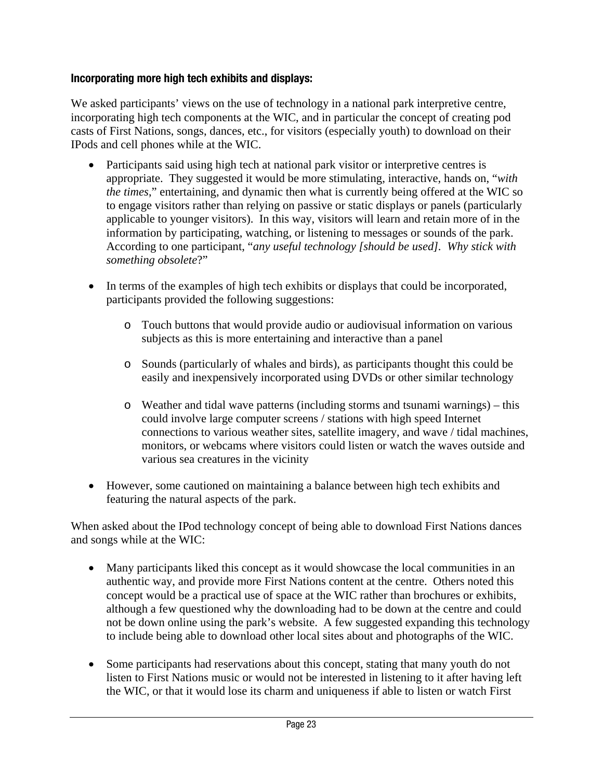# **Incorporating more high tech exhibits and displays:**

We asked participants' views on the use of technology in a national park interpretive centre, incorporating high tech components at the WIC, and in particular the concept of creating pod casts of First Nations, songs, dances, etc., for visitors (especially youth) to download on their IPods and cell phones while at the WIC.

- Participants said using high tech at national park visitor or interpretive centres is appropriate. They suggested it would be more stimulating, interactive, hands on, "*with the times*," entertaining, and dynamic then what is currently being offered at the WIC so to engage visitors rather than relying on passive or static displays or panels (particularly applicable to younger visitors). In this way, visitors will learn and retain more of in the information by participating, watching, or listening to messages or sounds of the park. According to one participant, "*any useful technology [should be used]. Why stick with something obsolete*?"
- In terms of the examples of high tech exhibits or displays that could be incorporated, participants provided the following suggestions:
	- o Touch buttons that would provide audio or audiovisual information on various subjects as this is more entertaining and interactive than a panel
	- o Sounds (particularly of whales and birds), as participants thought this could be easily and inexpensively incorporated using DVDs or other similar technology
	- o Weather and tidal wave patterns (including storms and tsunami warnings) this could involve large computer screens / stations with high speed Internet connections to various weather sites, satellite imagery, and wave / tidal machines, monitors, or webcams where visitors could listen or watch the waves outside and various sea creatures in the vicinity
- However, some cautioned on maintaining a balance between high tech exhibits and featuring the natural aspects of the park.

When asked about the IPod technology concept of being able to download First Nations dances and songs while at the WIC:

- Many participants liked this concept as it would showcase the local communities in an authentic way, and provide more First Nations content at the centre. Others noted this concept would be a practical use of space at the WIC rather than brochures or exhibits, although a few questioned why the downloading had to be down at the centre and could not be down online using the park's website. A few suggested expanding this technology to include being able to download other local sites about and photographs of the WIC.
- Some participants had reservations about this concept, stating that many youth do not listen to First Nations music or would not be interested in listening to it after having left the WIC, or that it would lose its charm and uniqueness if able to listen or watch First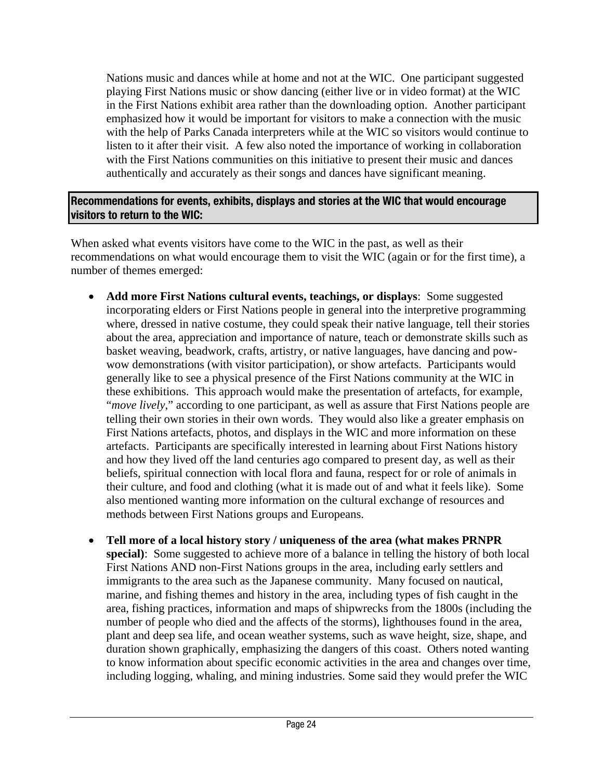Nations music and dances while at home and not at the WIC. One participant suggested playing First Nations music or show dancing (either live or in video format) at the WIC in the First Nations exhibit area rather than the downloading option. Another participant emphasized how it would be important for visitors to make a connection with the music with the help of Parks Canada interpreters while at the WIC so visitors would continue to listen to it after their visit. A few also noted the importance of working in collaboration with the First Nations communities on this initiative to present their music and dances authentically and accurately as their songs and dances have significant meaning.

# **Recommendations for events, exhibits, displays and stories at the WIC that would encourage visitors to return to the WIC:**

When asked what events visitors have come to the WIC in the past, as well as their recommendations on what would encourage them to visit the WIC (again or for the first time), a number of themes emerged:

- **Add more First Nations cultural events, teachings, or displays**: Some suggested incorporating elders or First Nations people in general into the interpretive programming where, dressed in native costume, they could speak their native language, tell their stories about the area, appreciation and importance of nature, teach or demonstrate skills such as basket weaving, beadwork, crafts, artistry, or native languages, have dancing and powwow demonstrations (with visitor participation), or show artefacts. Participants would generally like to see a physical presence of the First Nations community at the WIC in these exhibitions. This approach would make the presentation of artefacts, for example, "*move lively*," according to one participant, as well as assure that First Nations people are telling their own stories in their own words. They would also like a greater emphasis on First Nations artefacts, photos, and displays in the WIC and more information on these artefacts. Participants are specifically interested in learning about First Nations history and how they lived off the land centuries ago compared to present day, as well as their beliefs, spiritual connection with local flora and fauna, respect for or role of animals in their culture, and food and clothing (what it is made out of and what it feels like). Some also mentioned wanting more information on the cultural exchange of resources and methods between First Nations groups and Europeans.
- **Tell more of a local history story / uniqueness of the area (what makes PRNPR special)**: Some suggested to achieve more of a balance in telling the history of both local First Nations AND non-First Nations groups in the area, including early settlers and immigrants to the area such as the Japanese community. Many focused on nautical, marine, and fishing themes and history in the area, including types of fish caught in the area, fishing practices, information and maps of shipwrecks from the 1800s (including the number of people who died and the affects of the storms), lighthouses found in the area, plant and deep sea life, and ocean weather systems, such as wave height, size, shape, and duration shown graphically, emphasizing the dangers of this coast. Others noted wanting to know information about specific economic activities in the area and changes over time, including logging, whaling, and mining industries. Some said they would prefer the WIC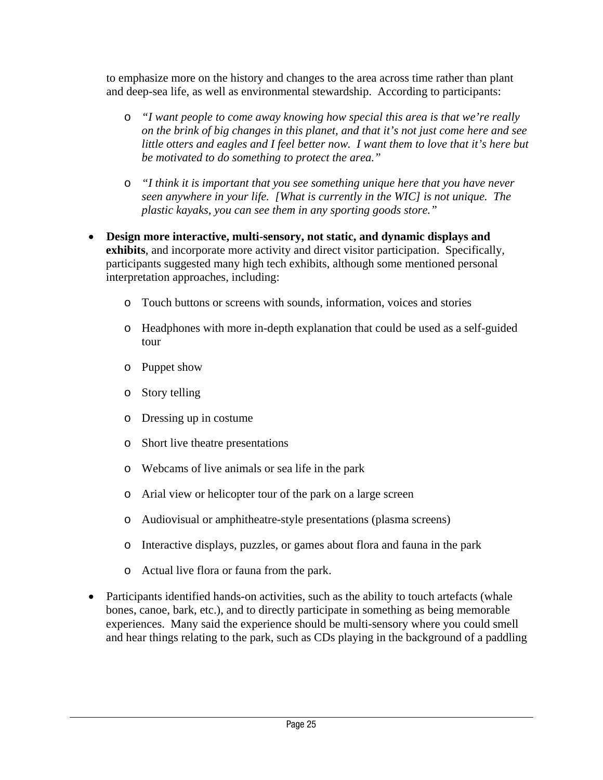to emphasize more on the history and changes to the area across time rather than plant and deep-sea life, as well as environmental stewardship. According to participants:

- o *"I want people to come away knowing how special this area is that we're really on the brink of big changes in this planet, and that it's not just come here and see little otters and eagles and I feel better now. I want them to love that it's here but be motivated to do something to protect the area."*
- o *"I think it is important that you see something unique here that you have never seen anywhere in your life. [What is currently in the WIC] is not unique. The plastic kayaks, you can see them in any sporting goods store."*
- **Design more interactive, multi-sensory, not static, and dynamic displays and exhibits**, and incorporate more activity and direct visitor participation. Specifically, participants suggested many high tech exhibits, although some mentioned personal interpretation approaches, including:
	- o Touch buttons or screens with sounds, information, voices and stories
	- o Headphones with more in-depth explanation that could be used as a self-guided tour
	- o Puppet show
	- o Story telling
	- o Dressing up in costume
	- o Short live theatre presentations
	- o Webcams of live animals or sea life in the park
	- o Arial view or helicopter tour of the park on a large screen
	- o Audiovisual or amphitheatre-style presentations (plasma screens)
	- o Interactive displays, puzzles, or games about flora and fauna in the park
	- o Actual live flora or fauna from the park.
- Participants identified hands-on activities, such as the ability to touch artefacts (whale bones, canoe, bark, etc.), and to directly participate in something as being memorable experiences. Many said the experience should be multi-sensory where you could smell and hear things relating to the park, such as CDs playing in the background of a paddling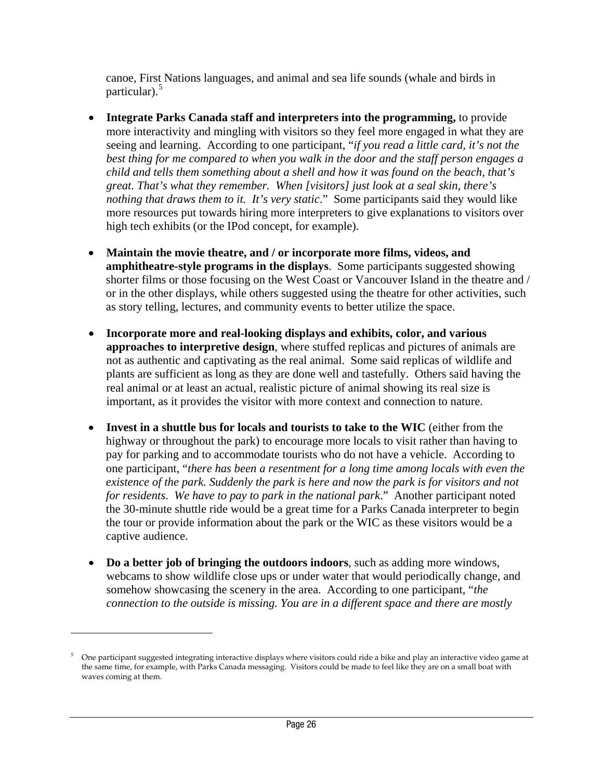canoe, First Nations languages, and animal and sea life sounds (whale and birds in particular).<sup>5</sup>

- **Integrate Parks Canada staff and interpreters into the programming,** to provide more interactivity and mingling with visitors so they feel more engaged in what they are seeing and learning. According to one participant, "*if you read a little card, it's not the best thing for me compared to when you walk in the door and the staff person engages a child and tells them something about a shell and how it was found on the beach, that's great. That's what they remember. When [visitors] just look at a seal skin, there's nothing that draws them to it. It's very static.*" Some participants said they would like more resources put towards hiring more interpreters to give explanations to visitors over high tech exhibits (or the IPod concept, for example).
- **Maintain the movie theatre, and / or incorporate more films, videos, and amphitheatre-style programs in the displays**. Some participants suggested showing shorter films or those focusing on the West Coast or Vancouver Island in the theatre and / or in the other displays, while others suggested using the theatre for other activities, such as story telling, lectures, and community events to better utilize the space.
- **Incorporate more and real-looking displays and exhibits, color, and various approaches to interpretive design**, where stuffed replicas and pictures of animals are not as authentic and captivating as the real animal. Some said replicas of wildlife and plants are sufficient as long as they are done well and tastefully. Others said having the real animal or at least an actual, realistic picture of animal showing its real size is important, as it provides the visitor with more context and connection to nature.
- **Invest in a shuttle bus for locals and tourists to take to the WIC** (either from the highway or throughout the park) to encourage more locals to visit rather than having to pay for parking and to accommodate tourists who do not have a vehicle. According to one participant, "*there has been a resentment for a long time among locals with even the existence of the park. Suddenly the park is here and now the park is for visitors and not for residents*. *We have to pay to park in the national park*." Another participant noted the 30-minute shuttle ride would be a great time for a Parks Canada interpreter to begin the tour or provide information about the park or the WIC as these visitors would be a captive audience.
- **Do a better job of bringing the outdoors indoors**, such as adding more windows, webcams to show wildlife close ups or under water that would periodically change, and somehow showcasing the scenery in the area. According to one participant, "*the connection to the outside is missing. You are in a different space and there are mostly*

 $\overline{a}$ 

<sup>5</sup> One participant suggested integrating interactive displays where visitors could ride a bike and play an interactive video game at the same time, for example, with Parks Canada messaging. Visitors could be made to feel like they are on a small boat with waves coming at them.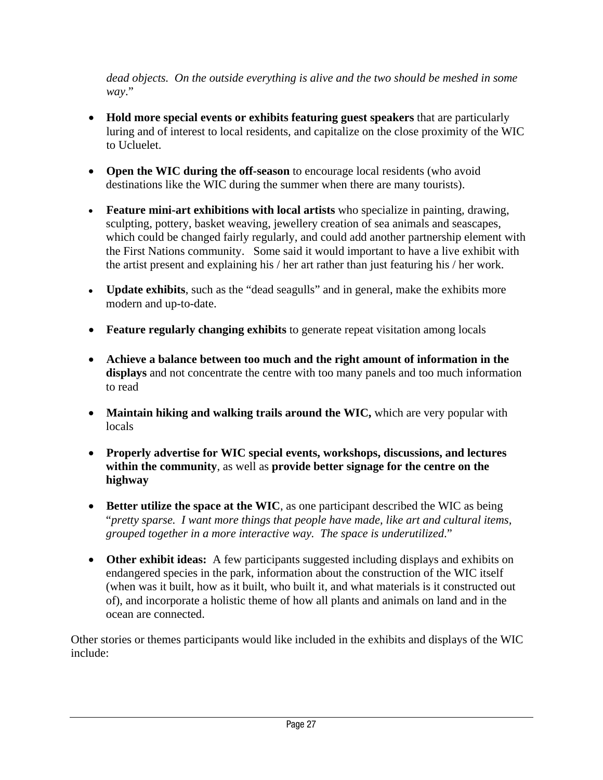*dead objects. On the outside everything is alive and the two should be meshed in some way*."

- **Hold more special events or exhibits featuring guest speakers** that are particularly luring and of interest to local residents, and capitalize on the close proximity of the WIC to Ucluelet.
- **Open the WIC during the off-season** to encourage local residents (who avoid destinations like the WIC during the summer when there are many tourists).
- **Feature mini-art exhibitions with local artists** who specialize in painting, drawing, sculpting, pottery, basket weaving, jewellery creation of sea animals and seascapes, which could be changed fairly regularly, and could add another partnership element with the First Nations community. Some said it would important to have a live exhibit with the artist present and explaining his / her art rather than just featuring his / her work.
- **Update exhibits**, such as the "dead seagulls" and in general, make the exhibits more modern and up-to-date.
- **Feature regularly changing exhibits** to generate repeat visitation among locals
- **Achieve a balance between too much and the right amount of information in the displays** and not concentrate the centre with too many panels and too much information to read
- **Maintain hiking and walking trails around the WIC,** which are very popular with locals
- **Properly advertise for WIC special events, workshops, discussions, and lectures within the community**, as well as **provide better signage for the centre on the highway**
- **Better utilize the space at the WIC**, as one participant described the WIC as being "*pretty sparse. I want more things that people have made, like art and cultural items, grouped together in a more interactive way. The space is underutilized*."
- **Other exhibit ideas:** A few participants suggested including displays and exhibits on endangered species in the park, information about the construction of the WIC itself (when was it built, how as it built, who built it, and what materials is it constructed out of), and incorporate a holistic theme of how all plants and animals on land and in the ocean are connected.

Other stories or themes participants would like included in the exhibits and displays of the WIC include: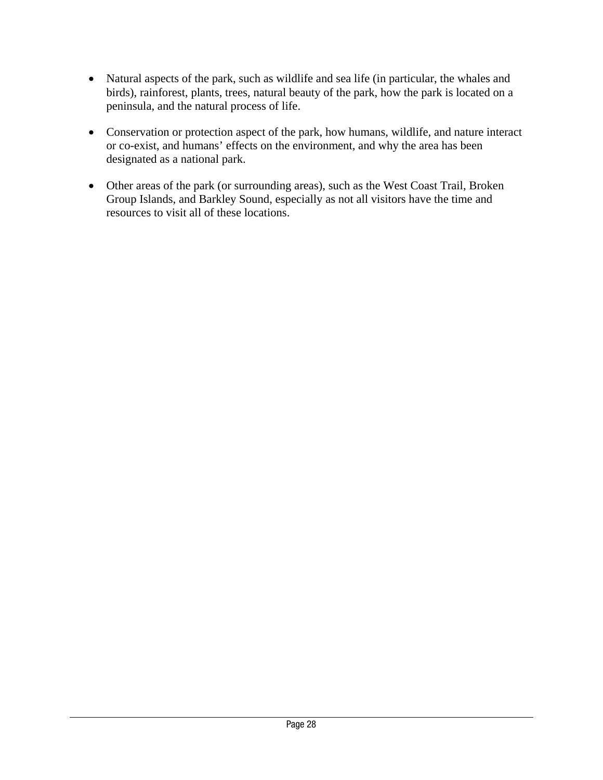- Natural aspects of the park, such as wildlife and sea life (in particular, the whales and birds), rainforest, plants, trees, natural beauty of the park, how the park is located on a peninsula, and the natural process of life.
- Conservation or protection aspect of the park, how humans, wildlife, and nature interact or co-exist, and humans' effects on the environment, and why the area has been designated as a national park.
- Other areas of the park (or surrounding areas), such as the West Coast Trail, Broken Group Islands, and Barkley Sound, especially as not all visitors have the time and resources to visit all of these locations.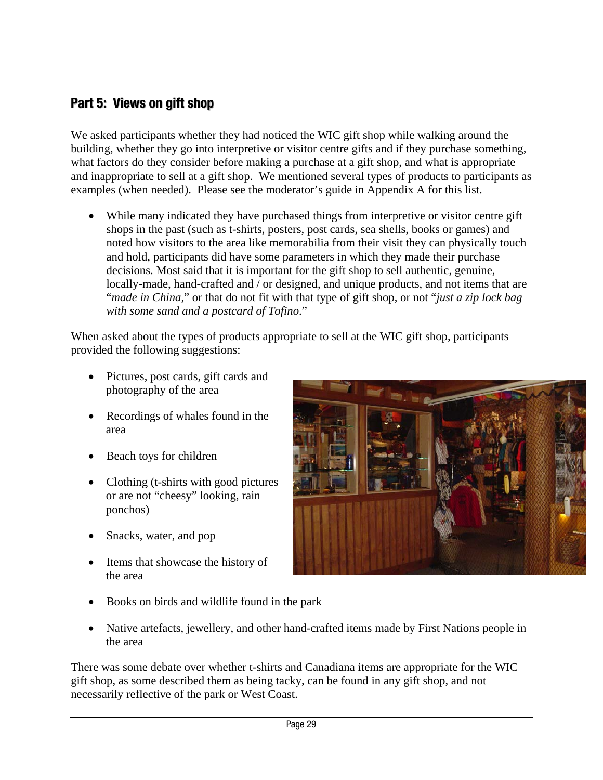# <span id="page-34-0"></span>**Part 5: Views on gift shop**

We asked participants whether they had noticed the WIC gift shop while walking around the building, whether they go into interpretive or visitor centre gifts and if they purchase something, what factors do they consider before making a purchase at a gift shop, and what is appropriate and inappropriate to sell at a gift shop. We mentioned several types of products to participants as examples (when needed). Please see the moderator's guide in Appendix A for this list.

While many indicated they have purchased things from interpretive or visitor centre gift shops in the past (such as t-shirts, posters, post cards, sea shells, books or games) and noted how visitors to the area like memorabilia from their visit they can physically touch and hold, participants did have some parameters in which they made their purchase decisions. Most said that it is important for the gift shop to sell authentic, genuine, locally-made, hand-crafted and / or designed, and unique products, and not items that are "*made in China,*" or that do not fit with that type of gift shop, or not "*just a zip lock bag with some sand and a postcard of Tofino*."

When asked about the types of products appropriate to sell at the WIC gift shop, participants provided the following suggestions:

- Pictures, post cards, gift cards and photography of the area
- Recordings of whales found in the area
- Beach toys for children
- Clothing (t-shirts with good pictures or are not "cheesy" looking, rain ponchos)
- Snacks, water, and pop
- Items that showcase the history of the area



- Books on birds and wildlife found in the park
- Native artefacts, jewellery, and other hand-crafted items made by First Nations people in the area

There was some debate over whether t-shirts and Canadiana items are appropriate for the WIC gift shop, as some described them as being tacky, can be found in any gift shop, and not necessarily reflective of the park or West Coast.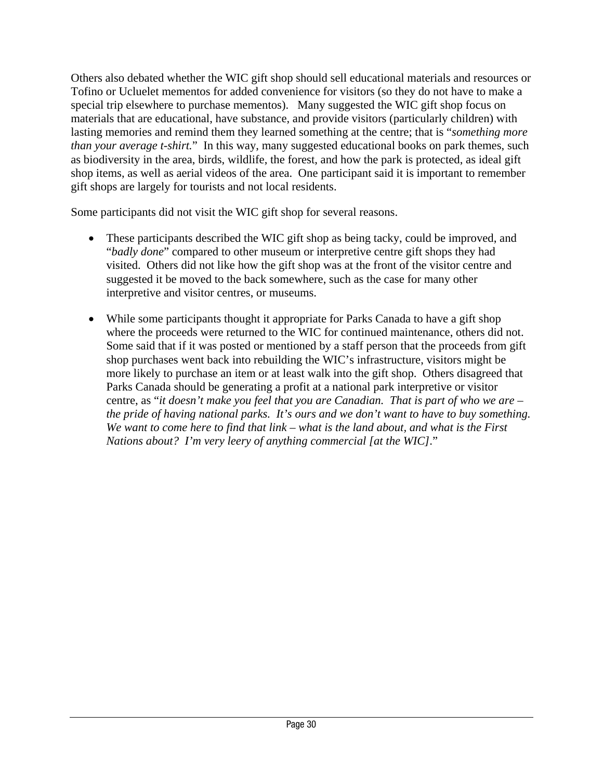Others also debated whether the WIC gift shop should sell educational materials and resources or Tofino or Ucluelet mementos for added convenience for visitors (so they do not have to make a special trip elsewhere to purchase mementos). Many suggested the WIC gift shop focus on materials that are educational, have substance, and provide visitors (particularly children) with lasting memories and remind them they learned something at the centre; that is "*something more than your average t-shirt.*" In this way, many suggested educational books on park themes, such as biodiversity in the area, birds, wildlife, the forest, and how the park is protected, as ideal gift shop items, as well as aerial videos of the area. One participant said it is important to remember gift shops are largely for tourists and not local residents.

Some participants did not visit the WIC gift shop for several reasons.

- These participants described the WIC gift shop as being tacky, could be improved, and "*badly done*" compared to other museum or interpretive centre gift shops they had visited. Others did not like how the gift shop was at the front of the visitor centre and suggested it be moved to the back somewhere, such as the case for many other interpretive and visitor centres, or museums.
- While some participants thought it appropriate for Parks Canada to have a gift shop where the proceeds were returned to the WIC for continued maintenance, others did not. Some said that if it was posted or mentioned by a staff person that the proceeds from gift shop purchases went back into rebuilding the WIC's infrastructure, visitors might be more likely to purchase an item or at least walk into the gift shop. Others disagreed that Parks Canada should be generating a profit at a national park interpretive or visitor centre, as "*it doesn't make you feel that you are Canadian. That is part of who we are – the pride of having national parks. It's ours and we don't want to have to buy something. We want to come here to find that link – what is the land about, and what is the First Nations about? I'm very leery of anything commercial [at the WIC]*."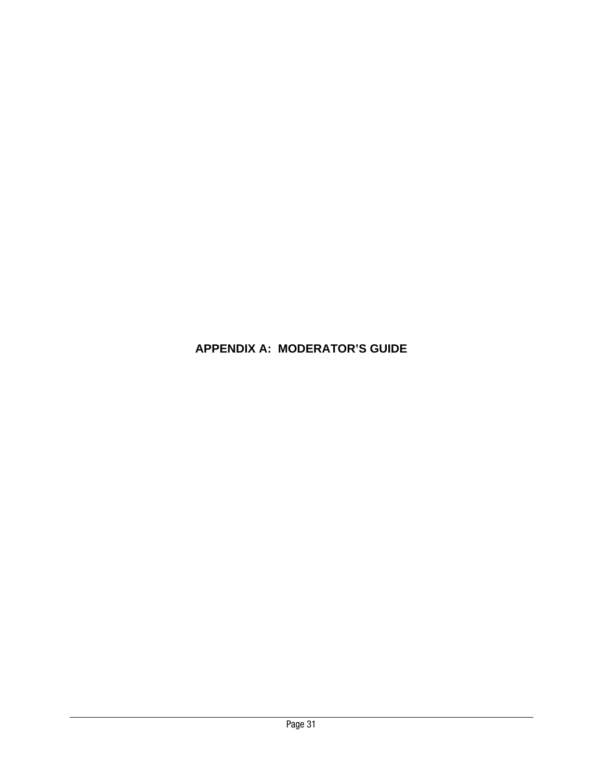# **APPENDIX A: MODERATOR'S GUIDE**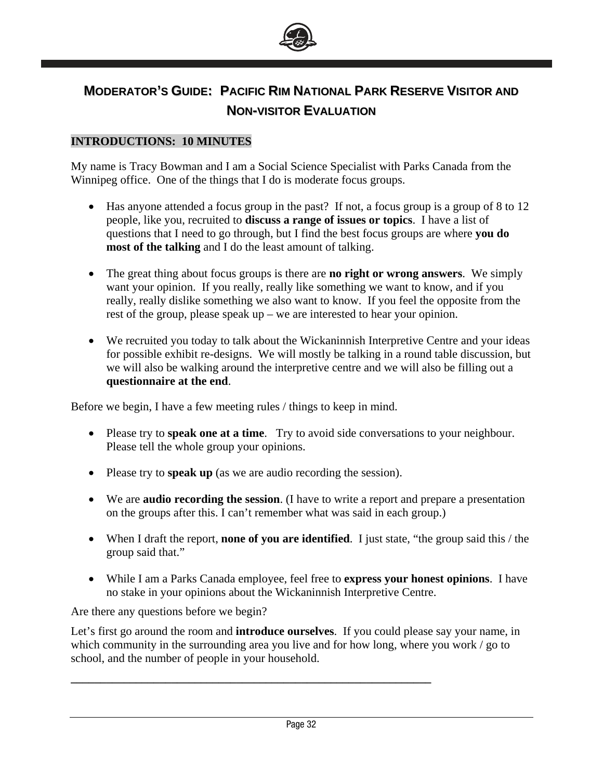

# **MODERATOR'S GUIDE: PACIFIC RIM NATIONAL PARK RESERVE VISITOR AND NON-VISITOR EVALUATION**

#### **INTRODUCTIONS: 10 MINUTES**

My name is Tracy Bowman and I am a Social Science Specialist with Parks Canada from the Winnipeg office. One of the things that I do is moderate focus groups.

- Has anyone attended a focus group in the past? If not, a focus group is a group of 8 to 12 people, like you, recruited to **discuss a range of issues or topics**. I have a list of questions that I need to go through, but I find the best focus groups are where **you do most of the talking** and I do the least amount of talking.
- The great thing about focus groups is there are **no right or wrong answers**. We simply want your opinion. If you really, really like something we want to know, and if you really, really dislike something we also want to know. If you feel the opposite from the rest of the group, please speak up – we are interested to hear your opinion.
- We recruited you today to talk about the Wickaninnish Interpretive Centre and your ideas for possible exhibit re-designs. We will mostly be talking in a round table discussion, but we will also be walking around the interpretive centre and we will also be filling out a **questionnaire at the end**.

Before we begin, I have a few meeting rules / things to keep in mind.

- Please try to **speak one at a time**. Try to avoid side conversations to your neighbour. Please tell the whole group your opinions.
- Please try to **speak up** (as we are audio recording the session).

**\_\_\_\_\_\_\_\_\_\_\_\_\_\_\_\_\_\_\_\_\_\_\_\_\_\_\_\_\_\_\_\_\_\_\_\_\_\_\_\_\_\_\_\_\_\_\_\_\_\_\_\_\_\_\_\_\_\_\_\_\_** 

- We are **audio recording the session**. (I have to write a report and prepare a presentation on the groups after this. I can't remember what was said in each group.)
- When I draft the report, **none of you are identified**. I just state, "the group said this / the group said that."
- While I am a Parks Canada employee, feel free to **express your honest opinions**. I have no stake in your opinions about the Wickaninnish Interpretive Centre.

Are there any questions before we begin?

Let's first go around the room and **introduce ourselves**. If you could please say your name, in which community in the surrounding area you live and for how long, where you work / go to school, and the number of people in your household.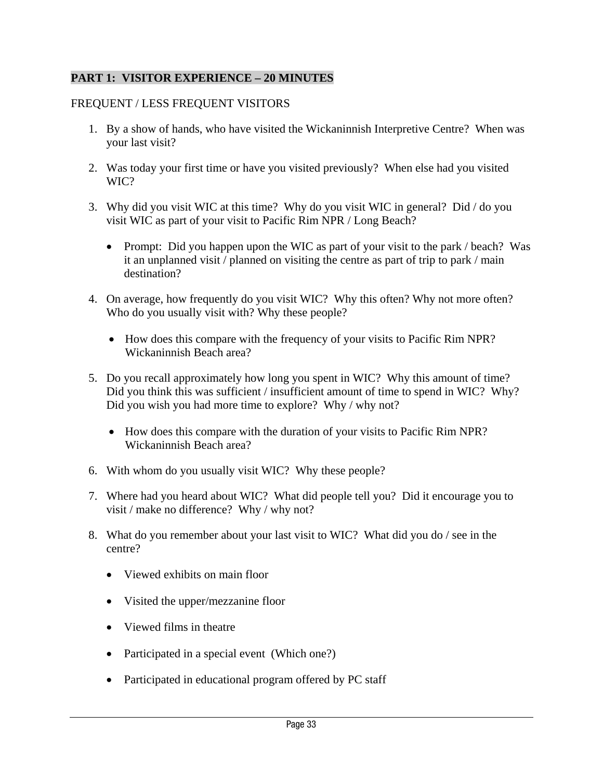# **PART 1: VISITOR EXPERIENCE – 20 MINUTES**

# FREQUENT / LESS FREQUENT VISITORS

- 1. By a show of hands, who have visited the Wickaninnish Interpretive Centre? When was your last visit?
- 2. Was today your first time or have you visited previously? When else had you visited WIC?
- 3. Why did you visit WIC at this time? Why do you visit WIC in general? Did / do you visit WIC as part of your visit to Pacific Rim NPR / Long Beach?
	- Prompt: Did you happen upon the WIC as part of your visit to the park / beach? Was it an unplanned visit / planned on visiting the centre as part of trip to park / main destination?
- 4. On average, how frequently do you visit WIC? Why this often? Why not more often? Who do you usually visit with? Why these people?
	- How does this compare with the frequency of your visits to Pacific Rim NPR? Wickaninnish Beach area?
- 5. Do you recall approximately how long you spent in WIC? Why this amount of time? Did you think this was sufficient / insufficient amount of time to spend in WIC? Why? Did you wish you had more time to explore? Why / why not?
	- How does this compare with the duration of your visits to Pacific Rim NPR? Wickaninnish Beach area?
- 6. With whom do you usually visit WIC? Why these people?
- 7. Where had you heard about WIC? What did people tell you? Did it encourage you to visit / make no difference? Why / why not?
- 8. What do you remember about your last visit to WIC? What did you do / see in the centre?
	- Viewed exhibits on main floor
	- Visited the upper/mezzanine floor
	- Viewed films in theatre
	- Participated in a special event (Which one?)
	- Participated in educational program offered by PC staff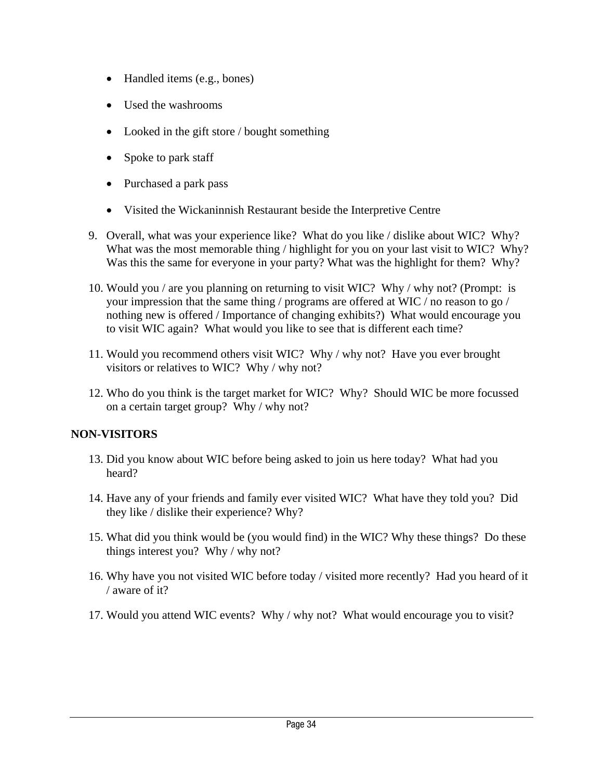- Handled items (e.g., bones)
- Used the washrooms
- Looked in the gift store / bought something
- Spoke to park staff
- Purchased a park pass
- Visited the Wickaninnish Restaurant beside the Interpretive Centre
- 9. Overall, what was your experience like? What do you like / dislike about WIC? Why? What was the most memorable thing / highlight for you on your last visit to WIC? Why? Was this the same for everyone in your party? What was the highlight for them? Why?
- 10. Would you / are you planning on returning to visit WIC? Why / why not? (Prompt: is your impression that the same thing / programs are offered at WIC / no reason to go / nothing new is offered / Importance of changing exhibits?) What would encourage you to visit WIC again? What would you like to see that is different each time?
- 11. Would you recommend others visit WIC? Why / why not? Have you ever brought visitors or relatives to WIC? Why / why not?
- 12. Who do you think is the target market for WIC? Why? Should WIC be more focussed on a certain target group? Why / why not?

# **NON-VISITORS**

- 13. Did you know about WIC before being asked to join us here today? What had you heard?
- 14. Have any of your friends and family ever visited WIC? What have they told you? Did they like / dislike their experience? Why?
- 15. What did you think would be (you would find) in the WIC? Why these things? Do these things interest you? Why / why not?
- 16. Why have you not visited WIC before today / visited more recently? Had you heard of it / aware of it?
- 17. Would you attend WIC events? Why / why not? What would encourage you to visit?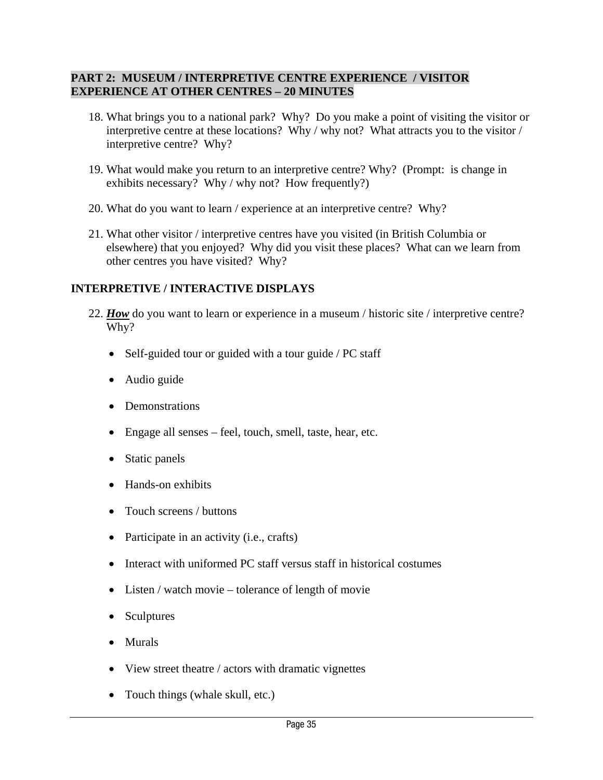#### **PART 2: MUSEUM / INTERPRETIVE CENTRE EXPERIENCE / VISITOR EXPERIENCE AT OTHER CENTRES – 20 MINUTES**

- 18. What brings you to a national park? Why? Do you make a point of visiting the visitor or interpretive centre at these locations? Why / why not? What attracts you to the visitor / interpretive centre? Why?
- 19. What would make you return to an interpretive centre? Why? (Prompt: is change in exhibits necessary? Why / why not? How frequently?)
- 20. What do you want to learn / experience at an interpretive centre? Why?
- 21. What other visitor / interpretive centres have you visited (in British Columbia or elsewhere) that you enjoyed? Why did you visit these places? What can we learn from other centres you have visited? Why?

# **INTERPRETIVE / INTERACTIVE DISPLAYS**

- 22. *How* do you want to learn or experience in a museum / historic site / interpretive centre? Why?
	- Self-guided tour or guided with a tour guide / PC staff
	- Audio guide
	- Demonstrations
	- Engage all senses feel, touch, smell, taste, hear, etc.
	- Static panels
	- Hands-on exhibits
	- Touch screens / buttons
	- Participate in an activity (i.e., crafts)
	- Interact with uniformed PC staff versus staff in historical costumes
	- Listen / watch movie tolerance of length of movie
	- **Sculptures**
	- Murals
	- View street theatre / actors with dramatic vignettes
	- Touch things (whale skull, etc.)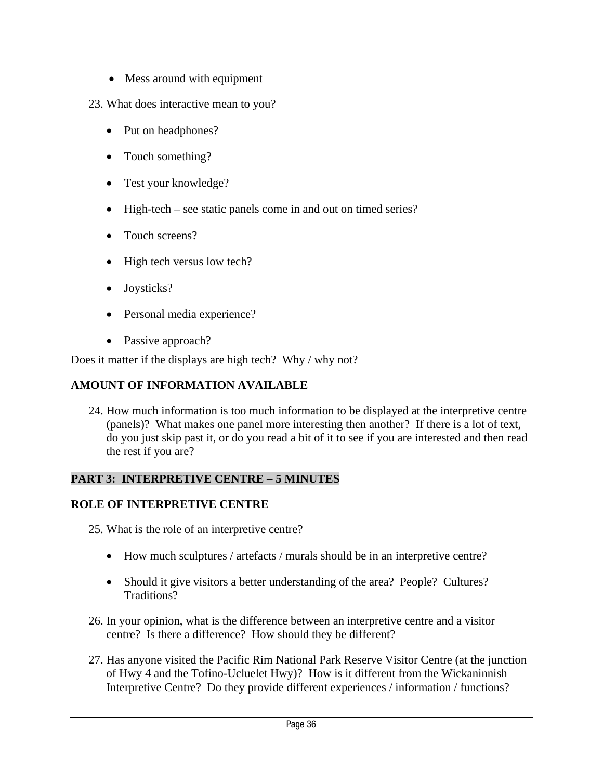- Mess around with equipment
- 23. What does interactive mean to you?
	- Put on headphones?
	- Touch something?
	- Test your knowledge?
	- High-tech see static panels come in and out on timed series?
	- Touch screens?
	- High tech versus low tech?
	- Joysticks?
	- Personal media experience?
	- Passive approach?

Does it matter if the displays are high tech? Why / why not?

# **AMOUNT OF INFORMATION AVAILABLE**

24. How much information is too much information to be displayed at the interpretive centre (panels)? What makes one panel more interesting then another? If there is a lot of text, do you just skip past it, or do you read a bit of it to see if you are interested and then read the rest if you are?

# **PART 3: INTERPRETIVE CENTRE – 5 MINUTES**

# **ROLE OF INTERPRETIVE CENTRE**

- 25. What is the role of an interpretive centre?
	- How much sculptures / artefacts / murals should be in an interpretive centre?
	- Should it give visitors a better understanding of the area? People? Cultures? Traditions?
- 26. In your opinion, what is the difference between an interpretive centre and a visitor centre? Is there a difference? How should they be different?
- 27. Has anyone visited the Pacific Rim National Park Reserve Visitor Centre (at the junction of Hwy 4 and the Tofino-Ucluelet Hwy)? How is it different from the Wickaninnish Interpretive Centre? Do they provide different experiences / information / functions?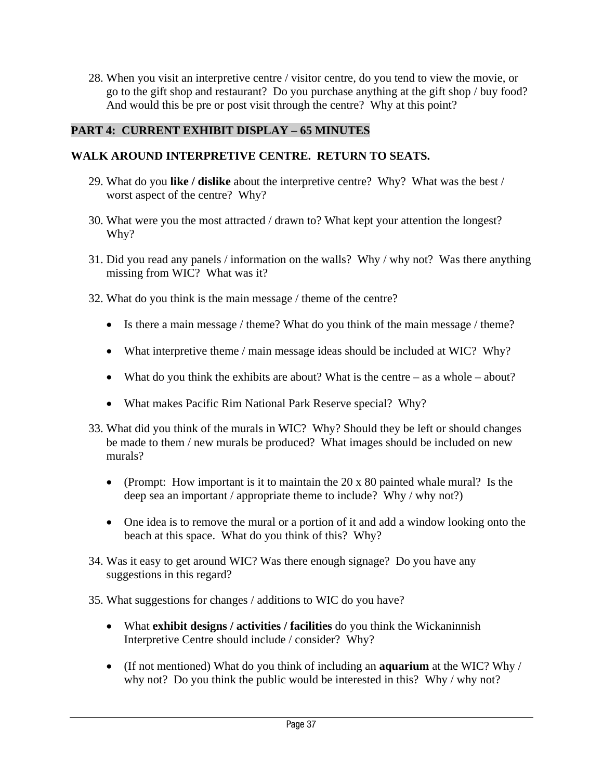28. When you visit an interpretive centre / visitor centre, do you tend to view the movie, or go to the gift shop and restaurant? Do you purchase anything at the gift shop / buy food? And would this be pre or post visit through the centre? Why at this point?

# **PART 4: CURRENT EXHIBIT DISPLAY – 65 MINUTES**

# **WALK AROUND INTERPRETIVE CENTRE. RETURN TO SEATS.**

- 29. What do you **like / dislike** about the interpretive centre? Why? What was the best / worst aspect of the centre? Why?
- 30. What were you the most attracted / drawn to? What kept your attention the longest? Why?
- 31. Did you read any panels / information on the walls? Why / why not? Was there anything missing from WIC? What was it?
- 32. What do you think is the main message / theme of the centre?
	- Is there a main message / theme? What do you think of the main message / theme?
	- What interpretive theme / main message ideas should be included at WIC? Why?
	- What do you think the exhibits are about? What is the centre as a whole about?
	- What makes Pacific Rim National Park Reserve special? Why?
- 33. What did you think of the murals in WIC? Why? Should they be left or should changes be made to them / new murals be produced? What images should be included on new murals?
	- (Prompt: How important is it to maintain the 20 x 80 painted whale mural? Is the deep sea an important / appropriate theme to include? Why / why not?)
	- One idea is to remove the mural or a portion of it and add a window looking onto the beach at this space. What do you think of this? Why?
- 34. Was it easy to get around WIC? Was there enough signage? Do you have any suggestions in this regard?
- 35. What suggestions for changes / additions to WIC do you have?
	- What **exhibit designs / activities / facilities** do you think the Wickaninnish Interpretive Centre should include / consider? Why?
	- (If not mentioned) What do you think of including an **aquarium** at the WIC? Why / why not? Do you think the public would be interested in this? Why / why not?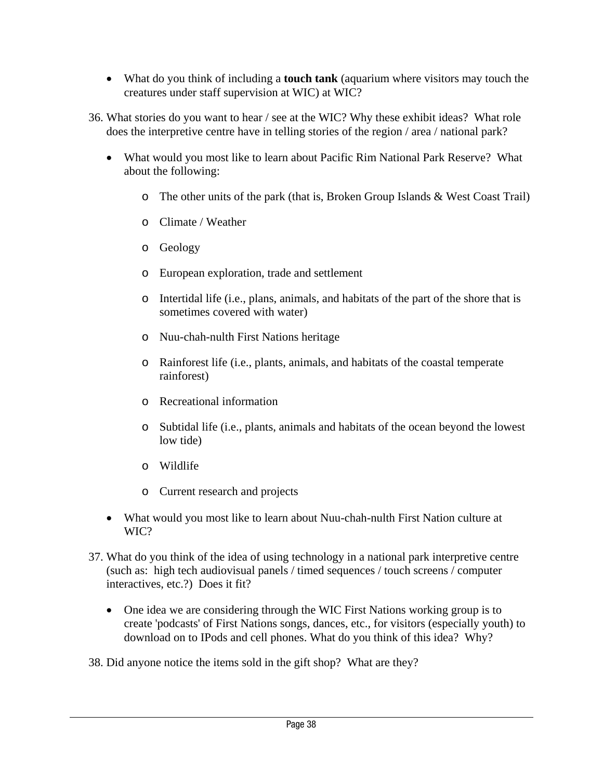- What do you think of including a **touch tank** (aquarium where visitors may touch the creatures under staff supervision at WIC) at WIC?
- 36. What stories do you want to hear / see at the WIC? Why these exhibit ideas? What role does the interpretive centre have in telling stories of the region / area / national park?
	- What would you most like to learn about Pacific Rim National Park Reserve? What about the following:
		- $\circ$  The other units of the park (that is, Broken Group Islands & West Coast Trail)
		- o Climate / Weather
		- o Geology
		- o European exploration, trade and settlement
		- o Intertidal life (i.e., plans, animals, and habitats of the part of the shore that is sometimes covered with water)
		- o Nuu-chah-nulth First Nations heritage
		- o Rainforest life (i.e., plants, animals, and habitats of the coastal temperate rainforest)
		- o Recreational information
		- o Subtidal life (i.e., plants, animals and habitats of the ocean beyond the lowest low tide)
		- o Wildlife
		- o Current research and projects
	- What would you most like to learn about Nuu-chah-nulth First Nation culture at WIC?
- 37. What do you think of the idea of using technology in a national park interpretive centre (such as: high tech audiovisual panels / timed sequences / touch screens / computer interactives, etc.?) Does it fit?
	- One idea we are considering through the WIC First Nations working group is to create 'podcasts' of First Nations songs, dances, etc., for visitors (especially youth) to download on to IPods and cell phones. What do you think of this idea? Why?
- 38. Did anyone notice the items sold in the gift shop? What are they?